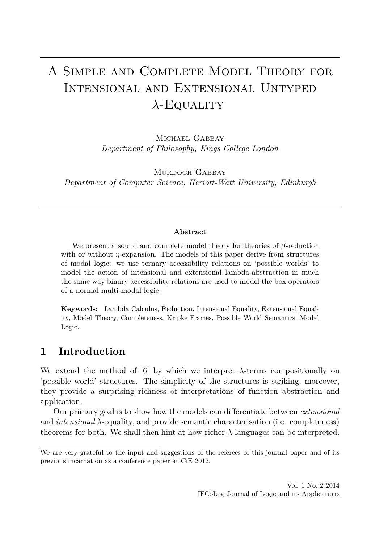# A Simple and Complete Model Theory for Intensional and Extensional Untyped *λ*-Equality

MICHAEL GABBAY *Department of Philosophy, Kings College London*

MURDOCH GABBAY *Department of Computer Science, Heriott-Watt University, Edinburgh*

#### **Abstract**

We present a sound and complete model theory for theories of *β*-reduction with or without *η*-expansion. The models of this paper derive from structures of modal logic: we use ternary accessibility relations on 'possible worlds' to model the action of intensional and extensional lambda-abstraction in much the same way binary accessibility relations are used to model the box operators of a normal multi-modal logic.

**Keywords:** Lambda Calculus, Reduction, Intensional Equality, Extensional Equality, Model Theory, Completeness, Kripke Frames, Possible World Semantics, Modal Logic.

# **1 Introduction**

We extend the method of [\[6\]](#page-22-0) by which we interpret  $\lambda$ -terms compositionally on 'possible world' structures. The simplicity of the structures is striking, moreover, they provide a surprising richness of interpretations of function abstraction and application.

Our primary goal is to show how the models can differentiate between *extensional* and *intensional λ*-equality, and provide semantic characterisation (i.e. completeness) theorems for both. We shall then hint at how richer *λ*-languages can be interpreted.

We are very grateful to the input and suggestions of the referees of this journal paper and of its previous incarnation as a conference paper at CiE 2012.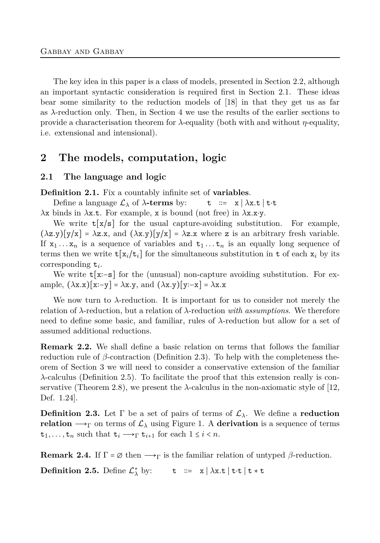The key idea in this paper is a class of models, presented in Section [2.2,](#page-4-0) although an important syntactic consideration is required first in Section [2.1.](#page-1-0) These ideas bear some similarity to the reduction models of [\[18\]](#page-23-0) in that they get us as far as *λ*-reduction only. Then, in Section [4](#page-14-0) we use the results of the earlier sections to provide a characterisation theorem for *λ*-equality (both with and without *η*-equality, i.e. extensional and intensional).

# <span id="page-1-0"></span>**2 The models, computation, logic**

## **2.1 The language and logic**

**Definition 2.1.** Fix a countably infinite set of **variables**.

Define a language  $\mathcal{L}_{\lambda}$  of  $\lambda$ **-terms** by: t := x |  $\lambda$ x.t | t⋅t *λ*x binds in *λ*x*.*t. For example, x is bound (not free) in *λ*x*.*x⋅y.

We write  $t[x/s]$  for the usual capture-avoiding substitution. For example,  $(\lambda z.y)[y/x] = \lambda z.x$ , and  $(\lambda x.y)[y/x] = \lambda z.x$  where z is an arbitrary fresh variable. If  $x_1 \ldots x_n$  is a sequence of variables and  $t_1 \ldots t_n$  is an equally long sequence of terms then we write  $\mathbf{t}[\mathbf{x}_i/\mathbf{t}_i]$  for the simultaneous substitution in  $\mathbf{t}$  of each  $\mathbf{x}_i$  by its corresponding t*<sup>i</sup>* .

We write t[x∶−s] for the (unusual) non-capture avoiding substitution. For example, (*λ*x*.*x)[x∶−y] = *λ*x*.*y, and (*λ*x*.*y)[y∶−x] = *λ*x*.*x

We now turn to *λ*-reduction. It is important for us to consider not merely the relation of *λ*-reduction, but a relation of *λ*-reduction *with assumptions*. We therefore need to define some basic, and familiar, rules of *λ*-reduction but allow for a set of assumed additional reductions.

**Remark 2.2.** We shall define a basic relation on terms that follows the familiar reduction rule of *β*-contraction (Definition [2.3\)](#page-1-1). To help with the completeness theorem of Section [3](#page-8-0) we will need to consider a conservative extension of the familiar *λ*-calculus (Definition [2.5\)](#page-1-2). To facilitate the proof that this extension really is conservative (Theorem [2.8\)](#page-2-0), we present the *λ*-calculus in the non-axiomatic style of [\[12,](#page-22-1) Def. 1.24].

<span id="page-1-1"></span>**Definition 2.3.** Let  $\Gamma$  be a set of pairs of terms of  $\mathcal{L}_{\lambda}$ . We define a **reduction relation**  $\rightarrow$ <sub>Γ</sub> on terms of  $\mathcal{L}_{\lambda}$  using Figure [1.](#page-2-1) A **derivation** is a sequence of terms  $t_1, \ldots, t_n$  such that  $t_i \longrightarrow_{\Gamma} t_{i+1}$  for each  $1 \leq i \leq n$ .

<span id="page-1-2"></span>**Remark 2.4.** If  $\Gamma = \emptyset$  then  $\longrightarrow_{\Gamma}$  is the familiar relation of untyped  $\beta$ -reduction.

**Definition 2.5.** Define  $\mathcal{L}^*_{\lambda}$  by: t ::= x |  $\lambda$ x*.t* | t⋅t | t \* t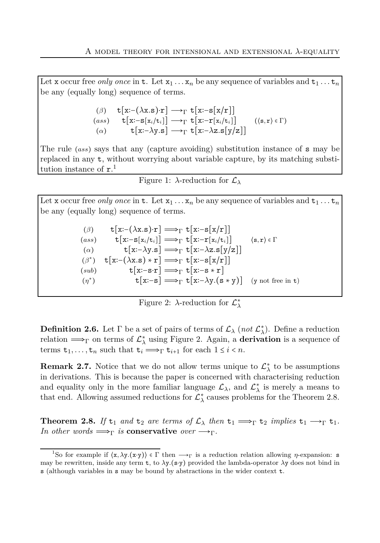<span id="page-2-1"></span>Let x occur free *only once* in t. Let  $x_1 \ldots x_n$  be any sequence of variables and  $t_1 \ldots t_n$ be any (equally long) sequence of terms.

$$
\begin{array}{ll}\n(\beta) & \mathbf{t}[\mathbf{x} : -(\lambda \mathbf{x} . \mathbf{s}) \cdot \mathbf{r}] \longrightarrow_{\Gamma} \mathbf{t}[\mathbf{x} : -\mathbf{s}[\mathbf{x}/\mathbf{r}]] \\
(ass) & \mathbf{t}[\mathbf{x} : -\mathbf{s}[\mathbf{x}_i/\mathbf{t}_i]] \longrightarrow_{\Gamma} \mathbf{t}[\mathbf{x} : -\mathbf{r}[\mathbf{x}_i/\mathbf{t}_i]] \\
(\alpha) & \mathbf{t}[\mathbf{x} : -\lambda \mathbf{y} . \mathbf{s}] \longrightarrow_{\Gamma} \mathbf{t}[\mathbf{x} : -\lambda \mathbf{z} . \mathbf{s}[\mathbf{y}/\mathbf{z}]]\n\end{array} \tag{8, r} \in \Gamma
$$

The rule (*ass*) says that any (capture avoiding) substitution instance of s may be replaced in any t, without worrying about variable capture, by its matching substitution instance of  $r<sup>1</sup>$ .

|  | Figure 1: $\lambda$ -reduction for $\mathcal{L}_{\lambda}$ |  |  |
|--|------------------------------------------------------------|--|--|
|--|------------------------------------------------------------|--|--|

<span id="page-2-2"></span>Let x occur free *only once* in **t**. Let  $x_1 \ldots x_n$  be any sequence of variables and  $t_1 \ldots t_n$ be any (equally long) sequence of terms.

> $(β)$  t[x:−( $\lambda$ x*.*s)⋅r]  $\Longrightarrow$ <sub>Γ</sub> t[x:−s[x/r]]  $(\text{ass}) \qquad \mathbf{t}[\mathbf{x}:\mathbf{-s}[\mathbf{x}_i/\mathbf{t}_i]] \Longrightarrow_{\Gamma} \mathbf{t}[\mathbf{x}:\mathbf{-r}[\mathbf{x}_i/\mathbf{t}_i]] \qquad \langle \mathbf{s}, \mathbf{r} \rangle \in \Gamma$ ( $\alpha$ ) t[x:− $\lambda$ y*.*s]  $\implies$ <sub>Γ</sub> t[x:− $\lambda$ z*.s*[y/z]] (*β* ∗  $t[x:-(\lambda x.s)*r] \Longrightarrow_{\Gamma} t[x:-s[x/r]]$  $(tsub)$  t[x:−s⋅r]  $\Longrightarrow$ <sub>Γ</sub> t[x:−s \* r] (*η* ∗  $t[x:-s] \longrightarrow_{\Gamma} t[x:-\lambda y.(s * y)]$  (y not free in t)

| Figure 2: $\lambda$ -reduction for $\mathcal{L}^*_{\lambda}$ |  |
|--------------------------------------------------------------|--|
|--------------------------------------------------------------|--|

**Definition 2.6.** Let  $\Gamma$  be a set of pairs of terms of  $\mathcal{L}_{\lambda}$  (*not*  $\mathcal{L}_{\lambda}^{*}$ ). Define a reduction relation  $\Longrightarrow_{\Gamma}$  on terms of  $\mathcal{L}^*_{\lambda}$  using Figure [2.](#page-2-2) Again, a **derivation** is a sequence of terms  $t_1, \ldots, t_n$  such that  $t_i \Longrightarrow_{\Gamma} t_{i+1}$  for each  $1 \leq i < n$ .

**Remark 2.7.** Notice that we do not allow terms unique to  $\mathcal{L}^*_{\lambda}$  to be assumptions in derivations. This is because the paper is concerned with characterising reduction and equality only in the more familiar language  $\mathcal{L}_{\lambda}$ , and  $\mathcal{L}_{\lambda}^{*}$  is merely a means to that end. Allowing assumed reductions for  $\mathcal{L}^*_{\lambda}$  causes problems for the Theorem [2.8.](#page-2-0)

<span id="page-2-0"></span>**Theorem 2.8.** If  $t_1$  and  $t_2$  are terms of  $\mathcal{L}_\lambda$  then  $t_1 \Longrightarrow_\Gamma t_2$  implies  $t_1 \longrightarrow_\Gamma t_1$ . *In other words*  $\Longrightarrow_{\Gamma}$  *is* **conservative** *over*  $\longrightarrow_{\Gamma}$ *.* 

<sup>&</sup>lt;sup>1</sup>So for example if  $\langle x, \lambda y. (x \cdot y) \rangle \in \Gamma$  then  $\longrightarrow_{\Gamma}$  is a reduction relation allowing *η*-expansion: s may be rewritten, inside any term t, to *λ*y*.*(s⋅y) provided the lambda-operator *λ*y does not bind in s (although variables in s may be bound by abstractions in the wider context t.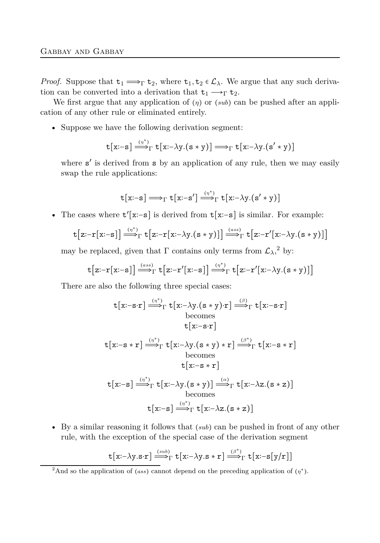*Proof.* Suppose that  $t_1 \Longrightarrow_\Gamma t_2$ , where  $t_1, t_2 \in \mathcal{L}_\lambda$ . We argue that any such derivation can be converted into a derivation that  $t_1 \longrightarrow_{\Gamma} t_2$ .

We first argue that any application of (*η*) or (*sub*) can be pushed after an application of any other rule or eliminated entirely.

• Suppose we have the following derivation segment:

$$
\mathtt{t}[\mathtt{x:}\mathtt{-s}]\mathop{\Longrightarrow}\limits^{(\eta^*)}\mathtt{t}[\mathtt{x:}\mathtt{-}\lambda \mathtt{y}.(\mathtt{s}\ast \mathtt{y})]\mathop{\Longrightarrow}\limits_{\Gamma} \mathtt{t}[\mathtt{x:}\mathtt{-}\lambda \mathtt{y}.(\mathtt{s}'\ast \mathtt{y})]
$$

where  $s'$  is derived from  $s$  by an application of any rule, then we may easily swap the rule applications:

$$
\mathtt{t}[\mathtt{x}\text{:-s}] \mathbin{\Longrightarrow}_{\Gamma} \mathtt{t}[\mathtt{x}\text{:-s}'] \mathbin{\overset{(\eta^*)}{\Longrightarrow}_{\Gamma} \mathtt{t}[\mathtt{x}\text{:-}\lambda \mathtt{y}.(\mathtt{s}'\ast \mathtt{y})]
$$

• The cases where t ′ [x∶−s] is derived from t[x∶−s] is similar. For example:

$$
t[z:-r[x:-s]] \stackrel{(\eta^*)}{\longrightarrow}_\Gamma t[z:-r[x:-\lambda y.(s*y)]] \stackrel{(ass)}{\longrightarrow}_\Gamma t[z:-r'[x:-\lambda y.(s*y)]]
$$

may be replaced, given that  $\Gamma$  contains only terms from  $\mathcal{L}_{\lambda}$ <sup>2</sup>, by:

$$
\mathtt{t}\big[z\!\!:\!\!-r[x\!\!:\!\!-s]\big]\!\stackrel{\scriptscriptstyle(ass)}{\Longrightarrow}_{\Gamma} \mathtt{t}\big[z\!\!:\!\!-r'[x\!\!:\!\!-s]\big]\!\stackrel{\scriptscriptstyle(\eta^*)}{\Longrightarrow}_{\Gamma} \mathtt{t}\big[z\!\!:\!\!-r'[x\!\!:\!\!-\lambda y.(s\ast y)]\big]
$$

There are also the following three special cases:

$$
t[x:-s\cdot r] \stackrel{(\eta^*)}{\Longrightarrow}_\Gamma t[x:-\lambda y.(s*y)\cdot r] \stackrel{(\beta)}{\Longrightarrow}_\Gamma t[x:-s\cdot r]
$$
  
becomes  

$$
t[x:-s\cdot r]
$$
  

$$
t[x:-s\cdot r] \stackrel{(\eta^*)}{\Longrightarrow}_\Gamma t[x:-\lambda y.(s*y)*r] \stackrel{(\beta^*)}{\Longrightarrow}_\Gamma t[x:-s*r]
$$
  
becomes  

$$
t[x:-s] \stackrel{(\eta^*)}{\Longrightarrow}_\Gamma t[x:-\lambda y.(s*y)] \stackrel{(\alpha)}{\Longrightarrow}_\Gamma t[x:-\lambda z.(s*z)]
$$
  
becomes  

$$
t[x:-s] \stackrel{(\eta^*)}{\Longrightarrow}_\Gamma t[x:-\lambda z.(s*z)]
$$

• By a similar reasoning it follows that (*sub*) can be pushed in front of any other rule, with the exception of the special case of the derivation segment

$$
\mathtt{t}[\mathtt{x:}\text{-}\lambda \mathtt{y.s} \text{-}\mathtt{r}] \stackrel{(\mathit{sub})}{\Longrightarrow}_\Gamma \mathtt{t}[\mathtt{x:}\text{-}\lambda \mathtt{y.s} \ast \mathtt{r}] \stackrel{(\beta^*)}{\Longrightarrow}_\Gamma \mathtt{t}[\mathtt{x:}\text{-}\mathtt{s}[\mathtt{y} / \mathtt{r}]]
$$

<sup>&</sup>lt;sup>2</sup>And so the application of (*ass*) cannot depend on the preceding application of ( $\eta^*$ ).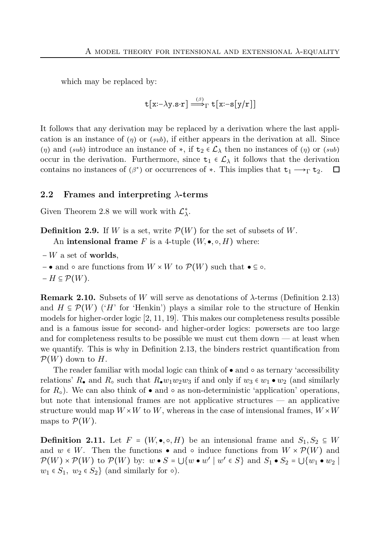which may be replaced by:

$$
\mathtt{t}[\mathtt{x:}\text{-}\lambda \mathtt{y}.\mathtt{s}\text{-}\mathtt{r}] \stackrel{(\beta)}{\Longrightarrow}_{\Gamma} \mathtt{t}[\mathtt{x:-s}[\mathtt{y}/\mathtt{r}]]
$$

It follows that any derivation may be replaced by a derivation where the last application is an instance of (*η*) or (*sub*), if either appears in the derivation at all. Since (*η*) and (*sub*) introduce an instance of  $\star$ , if  $t_2 \in \mathcal{L}_\lambda$  then no instances of (*η*) or (*sub*) occur in the derivation. Furthermore, since  $t_1 \in \mathcal{L}_{\lambda}$  it follows that the derivation contains no instances of  $(\beta^*)$  or occurrences of  $*$ . This implies that  $t_1 \longrightarrow_{\Gamma} t_2$ .  $\Box$ 

## <span id="page-4-0"></span>**2.2 Frames and interpreting** *λ***-terms**

Given Theorem [2.8](#page-2-0) we will work with  $\mathcal{L}^*_{\lambda}$ .

**Definition 2.9.** If *W* is a set, write  $\mathcal{P}(W)$  for the set of subsets of *W*. An **intensional frame**  $F$  is a 4-tuple  $(W, \bullet, \circ, H)$  where:

- − *W* a set of **worlds**,
- $-$  and  $\circ$  are functions from  $W \times W$  to  $\mathcal{P}(W)$  such that  $\bullet \subseteq \circ$ .
- $-H \subseteq \mathcal{P}(W)$ .

**Remark 2.10.** Subsets of *W* will serve as denotations of *λ*-terms (Definition [2.13\)](#page-5-0) and  $H \subseteq \mathcal{P}(W)$  ('*H*' for 'Henkin') plays a similar role to the structure of Henkin models for higher-order logic [\[2,](#page-22-2) [11,](#page-22-3) [19\]](#page-23-1). This makes our completeness results possible and is a famous issue for second- and higher-order logics: powersets are too large and for completeness results to be possible we must cut them down — at least when we quantify. This is why in Definition [2.13,](#page-5-0) the binders restrict quantification from  $\mathcal{P}(W)$  down to  $H$ .

The reader familiar with modal logic can think of ● and ○ as ternary 'accessibility relations'  $R_{\bullet}$  and  $R_{\circ}$  such that  $R_{\bullet}w_1w_2w_3$  if and only if  $w_3 \in w_1 \bullet w_2$  (and similarly for  $R_{\circ}$ ). We can also think of  $\bullet$  and  $\circ$  as non-deterministic 'application' operations, but note that intensional frames are not applicative structures — an applicative structure would map  $W \times W$  to *W*, whereas in the case of intensional frames,  $W \times W$ maps to  $\mathcal{P}(W)$ .

<span id="page-4-2"></span><span id="page-4-1"></span>**Definition 2.11.** Let  $F = (W, \bullet, \circ, H)$  be an intensional frame and  $S_1, S_2 \subseteq W$ and  $w \in W$ . Then the functions • and  $\circ$  induce functions from  $W \times \mathcal{P}(W)$  and  $\mathcal{P}(W) \times \mathcal{P}(W)$  to  $\mathcal{P}(W)$  by:  $w \bullet S = \bigcup \{w \bullet w' \mid w' \in S\}$  and  $S_1 \bullet S_2 = \bigcup \{w_1 \bullet w_2 \mid w' \in S \}$  $w_1 \in S_1$ ,  $w_2 \in S_2$  (and similarly for  $\circ$ ).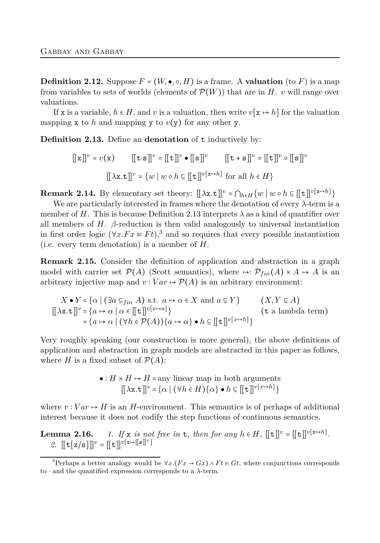**Definition 2.12.** Suppose  $F = (W, \bullet, \circ, H)$  is a frame. A **valuation** (to F) is a map from variables to sets of worlds (elements of  $\mathcal{P}(W)$ ) that are in *H*. *v* will range over valuations.

If x is a variable,  $h \in H$ , and v is a valuation, then write  $v[x \mapsto h]$  for the valuation mapping x to h and mapping y to  $v(y)$  for any other y.

<span id="page-5-0"></span>**Definition 2.13.** Define an **denotation** of t inductively by:

$$
[[x]]v = v(x) \qquad [[t \cdot s]]v = [[t]]v \bullet [[s]]v \qquad [[t * s]]v = [[t]]v \circ [[s]]v
$$

$$
[[\lambda x.t]]v = \{w \mid w \circ h \in [[t]]v[x \mapsto h] \text{ for all } h \in H\}
$$

**Remark 2.14.** By elementary set theory:  $[\![\lambda \mathbf{x}.\mathbf{t}]\!]^v = \bigcap_{h \in H} \{w \mid w \circ h \subseteq [\![\mathbf{t}]\!]^v^{[\mathbf{x} \mapsto h]}\}$ 

We are particularly interested in frames where the denotation of every *λ*-term is a member of *H*. This is because Definition [2.13](#page-5-0) interprets *λ* as a kind of quantifier over all members of  $H$ .  $\beta$ -reduction is then valid analogously to universal instantiation in first order logic ( $\forall x.Fx \in Ft$ ),<sup>3</sup> and so requires that every possible instantiation (i.e. every term denotation) is a member of *H*.

<span id="page-5-2"></span>**Remark 2.15.** Consider the definition of application and abstraction in a graph model with carrier set  $\mathcal{P}(A)$  (Scott semantics), where  $\mapsto \mathcal{P}_{fin}(A) \times A \mapsto A$  is an arbitrary injective map and  $v : Var \mapsto \mathcal{P}(A)$  is an arbitrary environment:

$$
X \bullet Y = \{ \alpha \mid (\exists a \subseteq_{fin} A) \text{ s.t. } a \mapsto \alpha \in X \text{ and } a \subseteq Y \} \qquad (X, Y \subseteq A)
$$
  
\n
$$
[[\lambda x.t]]^{v} = \{ a \mapsto \alpha \mid \alpha \in [[t]]^{v[x \mapsto a]} \} \qquad (t \text{ a lambda term})
$$
  
\n
$$
= \{ a \mapsto \alpha \mid (\forall h \in \mathcal{P}(A)) \{ a \mapsto \alpha \} \bullet h \subseteq [[t]]^{v[x \mapsto h]} \}
$$

Very roughly speaking (our construction is more general), the above definitions of application and abstraction in graph models are abstracted in this paper as follows, where *H* is a fixed subset of  $P(A)$ :

•: 
$$
H \times H \mapsto H
$$
 = any linear map in both arguments  
\n
$$
[[\lambda x.t]]^v = {\alpha | (\forall h \in H) {\alpha} \cdot h \subseteq [[t]]^{v[x \mapsto h]}}
$$

where  $v: Var \mapsto H$  is an *H*-environment. This semantics is of perhaps of additional interest because it does not codify the step functions of continuous semantics.

<span id="page-5-1"></span>**Lemma 2.16.** *1.* If x *is not free in* **t**, then for any  $h \in H$ ,  $[[t]]^v = [[t]]^{v[x \mapsto h]}$ . 2.  $[[t[x/s]]]^{v} = [[t]]^{v[x \mapsto [[s]]^{v}}]$ 

<sup>&</sup>lt;sup>3</sup>Perhaps a better analogy would be  $\forall x. (Fx \rightarrow Gx) \land Ft \vDash Gt$ , where conjunctions corresponds to ⋅ and the quantified expression corresponds to a *λ*-term.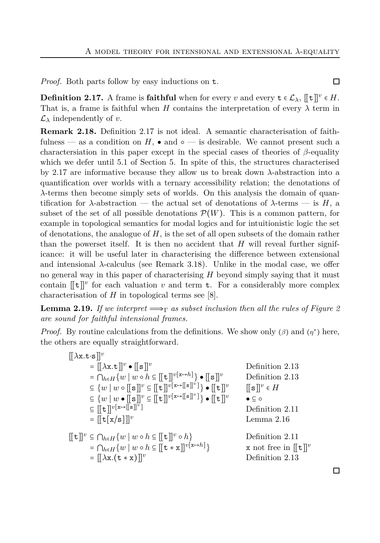<span id="page-6-0"></span>*Proof.* Both parts follow by easy inductions on t.

**Definition 2.17.** A frame is **faithful** when for every *v* and every  $\mathbf{t} \in \mathcal{L}_{\lambda}$ ,  $[\![\mathbf{t}]\!]^v \in H$ . That is, a frame is faithful when *H* contains the interpretation of every  $\lambda$  term in  $\mathcal{L}_{\lambda}$  independently of *v*.

**Remark 2.18.** Definition [2.17](#page-6-0) is not ideal. A semantic characterisation of faithfulness — as a condition on *H*, • and  $\circ$  — is desirable. We cannot present such a charactersiation in this paper except in the special cases of theories of *β*-equality which we defer until [5.1](#page-20-0) of Section [5.](#page-19-0) In spite of this, the structures characterised by [2.17](#page-6-0) are informative because they allow us to break down *λ*-abstraction into a quantification over worlds with a ternary accessibility relation; the denotations of *λ*-terms then become simply sets of worlds. On this analysis the domain of quantification for *λ*-abstraction — the actual set of denotations of *λ*-terms — is *H*, a subset of the set of all possible denotations  $\mathcal{P}(W)$ . This is a common pattern, for example in topological semantics for modal logics and for intuitionistic logic the set of denotations, the analogue of *H*, is the set of all open subsets of the domain rather than the powerset itself. It is then no accident that *H* will reveal further significance: it will be useful later in characterising the difference between extensional and intensional *λ*-calculus (see Remark [3.18\)](#page-12-0). Unlike in the modal case, we offer no general way in this paper of characterising *H* beyond simply saying that it must contain  $[[t]]^v$  for each valuation *v* and term **t**. For a considerably more complex characterisation of  $H$  in topological terms see [\[8\]](#page-22-4).

<span id="page-6-1"></span>**Lemma [2](#page-2-2).19.** *If we interpret*  $\Longrightarrow_{\Gamma}$  *as subset inclusion then all the rules of Figure 2 are sound for faithful intensional frames.*

*Proof.* By routine calculations from the definitions. We show only ( $\beta$ ) and ( $\eta^*$ ) here, the others are equally straightforward.

$$
[[\lambda x.t.s]]^v
$$
  
\n
$$
= [[\lambda x.t]]^v \bullet [[s]]^v
$$
  
\n
$$
= [\lambda x.t]^v \bullet [[s]]^v
$$
  
\n
$$
= [\lambda x \cdot t]^v \bullet [[s]]^v \bullet [[s]]^v
$$
  
\n
$$
= \{w \mid w \circ [[s]]^v \subseteq [[t]]^{v[x \to [[s]]^v]} \bullet [[t]]^v
$$
  
\n
$$
= [t]^v[x \to [[s]]^v]
$$
  
\n
$$
= [[t]]^{v[x \to [[s]]^v]}
$$
  
\n
$$
= [[t]x/s]]^v
$$
  
\n
$$
= [[t]x \land [t]]^v
$$
  
\n
$$
= [\lambda x.(t * x)]]^v
$$
  
\n
$$
= [[\lambda x.(t * x)]]^v
$$
  
\n
$$
= [\lambda x.(t * x)]]^v
$$
  
\n
$$
= [\lambda x.(t * x)]]^v
$$
  
\n
$$
= [\lambda x.((t * x)]]^v
$$
  
\n
$$
= [\lambda x.((t * x)]]^v
$$
  
\n
$$
= [\lambda x.((t * x)]]^v
$$
  
\n
$$
= [\lambda x.((t * x)]]^v
$$
  
\n
$$
= [\lambda x.((t * x)]]^v
$$
  
\n
$$
= [\lambda x.((t * x) - \lambda x.)]^v
$$
  
\n
$$
= [\lambda x.((t * x) - \lambda x.)]^v
$$
  
\n
$$
= [\lambda x.((t * x) - \lambda x.)]^v
$$
  
\n
$$
= [\lambda x.((t * x.)]^v
$$
  
\n
$$
= [\lambda x.((t * x.)]^v
$$
  
\n
$$
= [\lambda x.((t * x.)]^v
$$
  
\n
$$
= [\lambda x.((t * x.)]^v
$$
  
\n
$$
= [\lambda x.((t * x.)]^v
$$
  
\n
$$
= [\lambda x.((t * x.)]^v
$$
  
\n
$$
= [\lambda x.((t * x.)]^v
$$
  
\n
$$
= [\lambda x.((t * x.)]^v
$$
<

口

口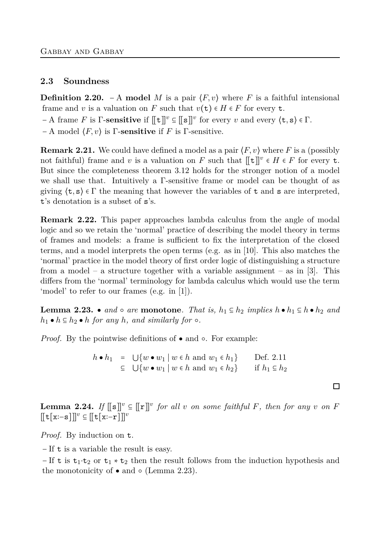#### <span id="page-7-2"></span>**2.3 Soundness**

**Definition 2.20.** − A **model** *M* is a pair ⟨*F, v*⟩ where *F* is a faithful intensional frame and *v* is a valuation on *F* such that  $v(t) \in H \in F$  for every **t**.

 $- A$  frame *F* is  $\Gamma$ -**sensitive** if  $[[\mathbf{t}]]^v \subseteq [[\mathbf{s}]]^v$  for every *v* and every  $\langle \mathbf{t}, \mathbf{s} \rangle \in \Gamma$ .

− A model ⟨*F, v*⟩ is Γ-**sensitive** if *F* is Γ-sensitive.

**Remark 2.21.** We could have defined a model as a pair  $\langle F, v \rangle$  where *F* is a (possibly not faithful) frame and *v* is a valuation on *F* such that  $[[t]]^v \in H \in F$  for every **t**. But since the completeness theorem [3.12](#page-11-0) holds for the stronger notion of a model we shall use that. Intuitively a Γ-sensitive frame or model can be thought of as giving  $\langle \mathbf{t}, \mathbf{s} \rangle \in \Gamma$  the meaning that however the variables of  $\mathbf{t}$  and  $\mathbf{s}$  are interpreted, t's denotation is a subset of s's.

**Remark 2.22.** This paper approaches lambda calculus from the angle of modal logic and so we retain the 'normal' practice of describing the model theory in terms of frames and models: a frame is sufficient to fix the interpretation of the closed terms, and a model interprets the open terms (e.g. as in [\[10\]](#page-22-5). This also matches the 'normal' practice in the model theory of first order logic of distinguishing a structure from a model – a structure together with a variable assignment – as in [\[3\]](#page-22-6). This differs from the 'normal' terminology for lambda calculus which would use the term 'model' to refer to our frames (e.g. in [\[1\]](#page-22-7)).

<span id="page-7-0"></span>**Lemma 2.23.** ● *and* ○ *are* **monotone**. That is,  $h_1 \subseteq h_2$  *implies*  $h \cdot h_1 \subseteq h \cdot h_2$  *and*  $h_1 \bullet h \subseteq h_2 \bullet h$  *for any h, and similarly for*  $\circ$ *.* 

*Proof.* By the pointwise definitions of • and ∘. For example:

*h* ● *h*<sub>1</sub> =  $\bigcup \{ w \cdot w_1 \mid w \in h \text{ and } w_1 \in h_1 \}$  Def. [2.11](#page-4-1) ⊆ ⋃{*w* ● *w*<sup>1</sup> ∣ *w* ∈ *h* and *w*<sup>1</sup> ∈ *h*2} if *h*<sup>1</sup> ⊆ *h*<sup>2</sup>

 $\Box$ 

<span id="page-7-1"></span>**Lemma 2.24.** *If*  $[[s]]^v \subseteq [[r]]^v$  *for all v on some faithful F, then for any v on F* [[t[x∶−s]]]*<sup>v</sup>* ⊆ [[t[x∶−r]]]*<sup>v</sup>*

*Proof.* By induction on t.

− If t is a variable the result is easy.

 $-$ If t is t<sub>1</sub>⋅t<sub>2</sub> or t<sub>1</sub>  $\star$  t<sub>2</sub> then the result follows from the induction hypothesis and the monotonicity of  $\bullet$  and  $\circ$  (Lemma [2.23\)](#page-7-0).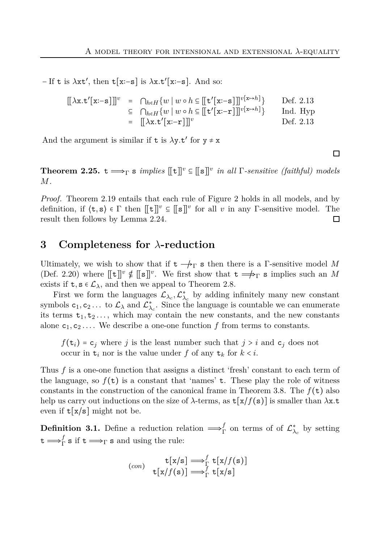− If t is *λ*xt′ , then t[x∶−s] is *λ*x*.*t ′ [x∶−s]. And so:

$$
\begin{array}{rcl}\n\left[\left\{\lambda x.t'[x:-s]\right\}\right]^{v} & = & \bigcap_{h\in H} \{w \mid w \circ h \in \left[\left[t'[x:-s]\right]\right]^{v[x\mapsto h]}\} & \text{Def. 2.13} \\
& \subseteq & \bigcap_{h\in H} \{w \mid w \circ h \in \left[\left[t'[x:-r]\right]\right]^{v[x\mapsto h]}\} & \text{Ind. Hyp} \\
& = & \left[\left[\lambda x.t'[x:-r]\right]\right]^{v} & \text{Def. 2.13}\n\end{array}
$$

And the argument is similar if  $t$  is  $\lambda y.t'$  for  $y \neq x$ 

<span id="page-8-1"></span>**Theorem 2.25.**  $t \rightarrow \infty$  s *implies*  $[[t]]^v \subseteq [[s]]^v$  *in all* Γ*-sensitive (faithful) models M.*

*Proof.* Theorem [2.19](#page-6-1) entails that each rule of Figure [2](#page-2-2) holds in all models, and by definition, if  $\langle \mathbf{t}, \mathbf{s} \rangle \in \Gamma$  then  $[\![ \mathbf{t} ]\!]^v \subseteq [\![ \mathbf{s} ]\!]^v$  for all *v* in any Γ-sensitive model. The result then follows by Lemma [2.24.](#page-7-1)  $\Box$ 

## <span id="page-8-0"></span>**3 Completeness for** *λ***-reduction**

Ultimately, we wish to show that if  $t \rightarrow$ <sub>r</sub> s then there is a Γ-sensitive model M (Def. [2.20\)](#page-7-2) where  $[[t]]^v \notin [[s]]^v$ . We first show that  $t \Longrightarrow_{\Gamma} s$  implies such an *M* exists if  $t, s \in \mathcal{L}_{\lambda}$ , and then we appeal to Theorem [2.8.](#page-2-0)

First we form the languages  $\mathcal{L}_{\lambda_c}, \mathcal{L}_{\lambda_c}^*$  by adding infinitely many new constant symbols  $c_1, c_2...$  to  $\mathcal{L}_{\lambda}$  and  $\mathcal{L}_{\lambda_c}^*$ . Since the language is countable we can enumerate its terms  $t_1, t_2, \ldots$ , which may contain the new constants, and the new constants alone  $c_1, c_2, \ldots$ . We describe a one-one function f from terms to constants.

 $f(\mathbf{t}_i) = \mathbf{c}_j$  where *j* is the least number such that  $j > i$  and  $\mathbf{c}_j$  does not occur in  $t_i$  nor is the value under f of any  $t_k$  for  $k < i$ .

Thus *f* is a one-one function that assigns a distinct 'fresh' constant to each term of the language, so  $f(\tau)$  is a constant that 'names'  $\tau$ . These play the role of witness constants in the construction of the canonical frame in Theorem [3.8.](#page-9-0) The  $f(\mathbf{t})$  also help us carry out inductions on the size of  $\lambda$ -terms, as  $\mathsf{t}[x/f(\mathbf{s})]$  is smaller than  $\lambda x.\mathbf{t}$ even if  $t[x/s]$  might not be.

**Definition 3.1.** Define a reduction relation  $\Longrightarrow^f_{\Gamma}$  on terms of of  $\mathcal{L}^*_{\lambda_c}$  by setting  $t \Longrightarrow^f_\Gamma \mathbf{s}$  if  $t \Longrightarrow_\Gamma \mathbf{s}$  and using the rule:

$$
\text{(con)} \quad \mathbf{t}[\mathbf{x}/\mathbf{s}] \Longrightarrow_{\Gamma}^{f} \mathbf{t}[\mathbf{x}/f(\mathbf{s})] \\ \mathbf{t}[\mathbf{x}/f(\mathbf{s})] \Longrightarrow_{\Gamma}^{f} \mathbf{t}[\mathbf{x}/\mathbf{s}]
$$

 $\Box$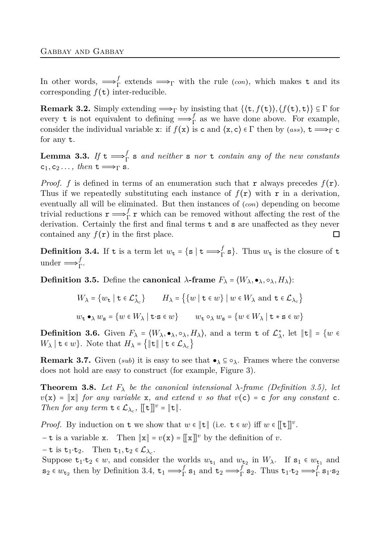In other words,  $\Longrightarrow_{\Gamma}^f$  extends  $\Longrightarrow_{\Gamma}$  with the rule (*con*), which makes t and its corresponding  $f(\tau)$  inter-reducible.

**Remark 3.2.** Simply extending  $\implies_{\Gamma}$  by insisting that  $\{\langle t, f(t) \rangle, \langle f(t), t \rangle\} \subseteq \Gamma$  for every **t** is not equivalent to defining  $\Longrightarrow^f_{\Gamma}$  as we have done above. For example, consider the individual variable x: if  $f(x)$  is c and  $\langle x, c \rangle \in \Gamma$  then by  $(ass)$ ,  $t \Longrightarrow_{\Gamma} c$ for any t.

**Lemma 3.3.** If  $t \Longrightarrow^f_{\Gamma}$  is and neither is nor t contain any of the new constants  $c_1, c_2 \ldots$ , then  $t \Longrightarrow_{\Gamma} s$ .

*Proof.*  $f$  is defined in terms of an enumeration such that  $r$  always precedes  $f(r)$ . Thus if we repeatedly substituting each instance of  $f(\mathbf{r})$  with  $\mathbf{r}$  in a derivation, eventually all will be eliminated. But then instances of (*con*) depending on become trivial reductions  $\mathbf{r} \longrightarrow_{\Gamma}^{f} \mathbf{r}$  which can be removed without affecting the rest of the derivation. Certainly the first and final terms  $t$  and  $s$  are unaffected as they never contained any  $f(\mathbf{r})$  in the first place.  $\Box$ 

<span id="page-9-2"></span>**Definition 3.4.** If t is a term let  $w_t = \{ s \mid t \implies_f^f s \}$ . Thus  $w_t$  is the closure of t under  $\Longrightarrow^f_{\Gamma}$ .

<span id="page-9-1"></span>**Definition 3.5.** Define the **canonical**  $\lambda$ -frame  $F_{\lambda} = \langle W_{\lambda}, \bullet_{\lambda}, \circ_{\lambda}, H_{\lambda} \rangle$ :

$$
W_{\lambda} = \{w_{\mathbf{t}} \mid \mathbf{t} \in \mathcal{L}_{\lambda_c}^*\} \qquad H_{\lambda} = \left\{\{w \mid \mathbf{t} \in w\} \mid w \in W_{\lambda} \text{ and } \mathbf{t} \in \mathcal{L}_{\lambda_c}\right\}
$$
  

$$
w_{\mathbf{t}} \bullet_{\lambda} w_{\mathbf{s}} = \{w \in W_{\lambda} \mid \mathbf{t} \cdot \mathbf{s} \in w\} \qquad w_{\mathbf{t}} \circ_{\lambda} w_{\mathbf{s}} = \{w \in W_{\lambda} \mid \mathbf{t} \cdot \mathbf{s} \in w\}
$$

**Definition 3.6.** Given  $F_{\lambda} = \langle W_{\lambda}, \bullet_{\lambda}, \circ_{\lambda}, H_{\lambda} \rangle$ , and a term t of  $\mathcal{L}_{\lambda}^{*}$ , let  $||\mathbf{t}|| = \{w \in$  $W_{\lambda} \mid \mathbf{t} \in w$ }. Note that  $H_{\lambda} = \{ ||\mathbf{t}|| \mid \mathbf{t} \in \mathcal{L}_{\lambda_c} \}$ 

**Remark 3.7.** Given (*sub*) it is easy to see that  $\bullet_{\lambda} \subseteq \circ_{\lambda}$ . Frames where the converse does not hold are easy to construct (for example, Figure [3\)](#page-13-0).

<span id="page-9-0"></span>**Theorem 3.8.** Let  $F_{\lambda}$  be the canonical intensional  $\lambda$ -frame (Definition [3.5\)](#page-9-1), let  $v(x) = ||x||$  *for any variable* x*, and extend v so that*  $v(c) = c$  *for any constant* c. *Then for any term*  $\mathbf{t} \in \mathcal{L}_{\lambda_c}$ ,  $[[\mathbf{t}]]^v = ||\mathbf{t}||$ .

*Proof.* By induction on **t** we show that  $w \in ||\mathbf{t}||$  (i.e.  $\mathbf{t} \in w$ ) iff  $w \in [[\mathbf{t}]]^v$ .

 $-\mathbf{t}$  is a variable x. Then  $\|\mathbf{x}\| = v(\mathbf{x}) = [\![\mathbf{x}]\!]^v$  by the definition of *v*.

 $-\mathbf{t}$  is  $\mathbf{t}_1 \cdot \mathbf{t}_2$ . Then  $\mathbf{t}_1, \mathbf{t}_2 \in \mathcal{L}_{\lambda_c}$ .

Suppose  $t_1 \cdot t_2 \in w$ , and consider the worlds  $w_{t_1}$  and  $w_{t_2}$  in  $W_\lambda$ . If  $s_1 \in w_{t_1}$  and  $\mathbf{s}_2 \in w_{\mathbf{t}_2}$  then by Definition [3.4,](#page-9-2)  $\mathbf{t}_1 \Longrightarrow^f_\Gamma \mathbf{s}_1$  and  $\mathbf{t}_2 \Longrightarrow^f_\Gamma \mathbf{s}_2$ . Thus  $\mathbf{t}_1 \cdot \mathbf{t}_2 \Longrightarrow^f_\Gamma \mathbf{s}_1 \cdot \mathbf{s}_2$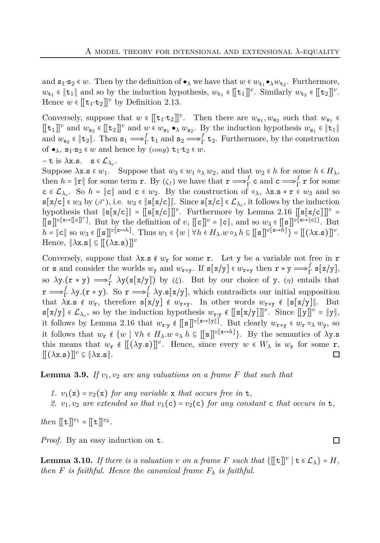and  $s_1 \cdot s_2 \in w$ . Then by the definition of  $\bullet_\lambda$  we have that  $w \in w_{t_1} \bullet_\lambda w_{t_2}$ . Furthermore, *w*<sub>t1</sub> ∈  $||$ **t**<sub>1</sub> $||$  and so by the induction hypothesis,  $w_{t_1}$  ∈  $[[t_1]]^v$ . Similarly  $w_{t_2}$  ∈  $[[t_2]]^v$ . Hence  $w \in [\![ \mathbf{t}_1 \cdot \mathbf{t}_2 ]\!]^v$  by Definition [2.13.](#page-5-0)

Conversely, suppose that  $w \in [\![ \mathbf{t}_1 \cdot \mathbf{t}_2 ]\!]^v$ . Then there are  $w_{\mathbf{s}_1}, w_{\mathbf{s}_2}$  such that  $w_{\mathbf{s}_1} \in$  $[[t_1]]^v$  and  $w_{s_2} \in [[t_2]]^v$  and  $w \in w_{s_1} \bullet_\lambda w_{s_2}$ . By the induction hypothesis  $w_{s_1} \in ||t_1||$ and  $w_{s_2} \in \|\mathbf{t}_2\|$ . Then  $s_1 \Longrightarrow^f_{\Gamma} \mathbf{t}_1$  and  $s_2 \Longrightarrow^f_{\Gamma} \mathbf{t}_2$ . Furthermore, by the construction of  $\bullet_{\lambda}$ ,  $s_1 \cdot s_2 \in w$  and hence by  $(cong) \t t_1 \cdot t_2 \in w$ .

$$
-t \text{ is } \lambda x \text{.s.} \quad s \in \mathcal{L}_{\lambda_c}.
$$

Suppose  $\lambda$ x.s  $\in w_1$ . Suppose that  $w_3 \in w_1 \circ_\lambda w_2$ , and that  $w_2 \in h$  for some  $h \in H_\lambda$ , then  $h = \|\mathbf{r}\|$  for some term **r**. By  $(\zeta_f)$  we have that  $\mathbf{r} \Longrightarrow_{\Gamma}^f \mathbf{c}$  and  $\mathbf{c} \Longrightarrow_{\Gamma}^f \mathbf{r}$  for some  $c \in \mathcal{L}_{\lambda_c}$ . So  $h = ||c||$  and  $c \in w_2$ . By the construction of  $\circ_{\lambda}$ ,  $\lambda x.s \cdot r \in w_3$  and so  $\textbf{s}[x/c] \in w_3$  by  $(\beta^*)$ , i.e.  $w_3 \in ||\textbf{s}[x/c]||$ . Since  $\textbf{s}[x/c] \in \mathcal{L}_{\lambda_c}$ , it follows by the induction hypothesis that ∥s[x/c]∥ = [[s[x/c]]]*<sup>v</sup>* . Furthermore by Lemma [2.16](#page-5-1) [[s[x/c]]]*<sup>v</sup>* =  $[\![s]\!]^{v[x \mapsto [\![c]\!]^v}$ . But by the definition of *v*,  $[\![c]\!]^v = \|c\|$ , and so  $w_3 \in [\![s]\!]^{v[x \mapsto [\![c]\!]}$ . But  $h = ||c||$  so  $w_3 \in [[s]]^{v[x \to h]}$ . Thus  $w_1 \in \{w \mid \forall h \in H_\lambda \ldotp w \circ_\lambda h \subseteq [[s]]^{v[x \to h]} \} = [[(\lambda x.s)]]^v$ .  $\text{Hence}, \|\lambda \times \mathbf{s}\| \subseteq [(\lambda \times \mathbf{s})]^v$ 

Conversely, suppose that  $\lambda$ **x**.s  $\notin w$ **r** for some **r**. Let **y** be a variable not free in **r** or s and consider the worlds  $w_y$  and  $w_{x*y}$ . If  $s[x/y] \in w_{x*y}$  then  $r * y \Longrightarrow^f_{\Gamma} s[x/y]$ , so  $\lambda$ y.( $\mathbf{r} * \mathbf{y}$ )  $\Longrightarrow^f_{\Gamma} \lambda$ y(s[x/y]) by (*ξ*). But by our choice of y, (*η*) entails that  ${\bf r}$  ⇒  $f$ <sup>*f*</sup></sup> λy.(**r** ∗ y). So **r** ⇒  $f$ <sup>*f*</sup> λy.s[x/y], which contradicts our initial supposition that  $\lambda$ x.s  $\notin w_r$ , therefore  $s[x/y] \notin w_{r*y}$ . In other words  $w_{r*y} \notin \|s[x/y]\|$ . But  $\mathbf{s}[\mathbf{x}/\mathbf{y}] \in \mathcal{L}_{\lambda_c}$ , so by the induction hypothesis  $w_{\mathbf{r}\cdot\mathbf{y}} \notin [[\mathbf{s}[\mathbf{x}/\mathbf{y}]]]^{v}$ . Since  $[[\mathbf{y}]]^{v} = ||\mathbf{y}||$ , it follows by Lemma [2.16](#page-5-1) that  $w_{\mathbf{r} \cdot \mathbf{y}} \notin [[\mathbf{s}]]^{v[\mathbf{x} \mapsto ||\mathbf{y}||]}$ . But clearly  $w_{\mathbf{r} * \mathbf{y}} \in w_{\mathbf{r}} \circ_{\lambda} w_{\mathbf{y}}$ , so it follows that  $w_r \notin \{w \mid \forall h \in H_\lambda \ldotp w \circ_\lambda h \subseteq [[\mathbf{s}]]^{v[\mathbf{x} \mapsto h]} \}$ . By the semantics of  $\lambda \mathbf{y}$ .s this means that  $w_r \notin [[(\lambda y.s)]]^v$ . Hence, since every  $w \in W_\lambda$  is  $w_r$  for some r,  $[(\lambda x.s)]^v \subseteq |\lambda x.s|.$ □

<span id="page-10-0"></span>**Lemma 3.9.** If  $v_1, v_2$  are any valuations on a frame F that such that

- *1.*  $v_1(x) = v_2(x)$  *for any variable* x *that occurs free in* **t**,
- 2.  $v_1, v_2$  are extended so that  $v_1(c) = v_2(c)$  for any constant c that occurs in t,

*then*  $[[t]]^{v_1} = [[t]]^{v_2}$ .

*Proof.* By an easy induction on t.

<span id="page-10-1"></span>**Lemma 3.10.** *If there is a valuation v on a frame F such that*  $\{[\![\mathbf{t}]\!]^v \mid \mathbf{t} \in \mathcal{L}_\lambda\} = H$ , *then F is faithful. Hence the canonical frame*  $F_{\lambda}$  *is faithful.* 

口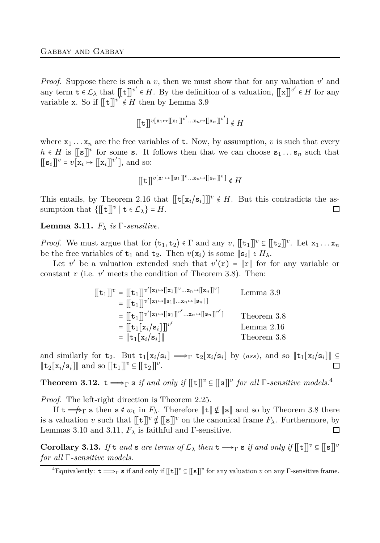*Proof.* Suppose there is such a  $v$ , then we must show that for any valuation  $v'$  and any term  $\mathbf{t} \in \mathcal{L}_{\lambda}$  that  $[[\mathbf{t}]]^{v'} \in H$ . By the definition of a valuation,  $[[\mathbf{x}]]^{v'} \in H$  for any variable x. So if  $[[t]]^{v^{\mathcal{T}}} \notin H$  then by Lemma [3.9](#page-10-0)

$$
[[t]]^{v[x_1\mapsto[[x_1]]^{v'}...x_n\mapsto[[x_n]]^{v'}}]\notin H
$$

where  $x_1 \ldots x_n$  are the free variables of **t**. Now, by assumption, *v* is such that every  $h \in H$  is  $[[s]]^v$  for some s. It follows then that we can choose  $s_1 \ldots s_n$  such that  $[[s_i]]^v = v[x_i \mapsto [[x_i]]^{v'}],$  and so:

$$
[[t]]^{v[x_1\mapsto[[s_1]]^v...x_n\mapsto[[s_n]]^v]}\notin H
$$

This entails, by Theorem [2.16](#page-5-1) that  $[[t[x_i/s_i]]]^{v} \notin H$ . But this contradicts the assumption that  $\{[\![\mathbf{t}]\!]^v \mid \mathbf{t} \in \mathcal{L}_\lambda\} = H.$  $\Box$ 

<span id="page-11-1"></span>**Lemma 3.11.**  $F_{\lambda}$  *is*  $\Gamma$ *-sensitive.* 

*Proof.* We must argue that for  $\langle \mathbf{t}_1, \mathbf{t}_2 \rangle \in \Gamma$  and any  $v$ ,  $[[\mathbf{t}_1]]^v \subseteq [[\mathbf{t}_2]]^v$ . Let  $\mathbf{x}_1 \dots \mathbf{x}_n$ be the free variables of  $t_1$  and  $t_2$ . Then  $v(\mathbf{x}_i)$  is some  $\|\mathbf{s}_i\| \in H_\lambda$ .

Let *v*' be a valuation extended such that  $v'(\mathbf{r}) = ||\mathbf{r}||$  for for any variable or constant  $\mathbf r$  (i.e.  $v'$  meets the condition of Theorem [3.8\)](#page-9-0). Then:

$$
\begin{aligned}\n[[\mathbf{t}_1]]^v &= [[\mathbf{t}_1]]^{v'[\mathbf{x}_1 \mapsto [\mathbf{x}_1]]^v \dots \mathbf{x}_n \mapsto [\mathbf{x}_n]]^v] & \text{Lemma 3.9} \\
&= [[\mathbf{t}_1]]^{v'[\mathbf{x}_1 \mapsto \|\mathbf{s}_1\| \dots \mathbf{x}_n \mapsto \|\mathbf{s}_n\|] } \\
&= [[\mathbf{t}_1]]^{v'[\mathbf{x}_1 \mapsto [\mathbf{s}_1]]^{v'} \dots \mathbf{x}_n \mapsto [\mathbf{s}_n]]^{v'}] & \text{Theorem 3.8} \\
&= [[\mathbf{t}_1[\mathbf{x}_i/\mathbf{s}_i]]^{v'} & \text{Lemma 2.16} \\
&= ||\mathbf{t}_1[\mathbf{x}_i/\mathbf{s}_i]|| & \text{Theorem 3.8}\n\end{aligned}
$$

and similarly for  $t_2$ . But  $t_1[x_i/s_i] \implies_{\Gamma} t_2[x_i/s_i]$  by (*ass*), and so  $||t_1[x_i/s_i]|| \subseteq$  $\|\mathbf{t}_2[\mathbf{x}_i/\mathbf{s}_i]\|$  and so  $[\![\mathbf{t}_1]\!]^v \subseteq [\![\mathbf{t}_2]\!]^v$ . П

<span id="page-11-0"></span>**Theorem 3.12.**  $t \Longrightarrow_{\Gamma} s$  *if and only if*  $[[t]]^v \subseteq [[s]]^v$  *for all*  $\Gamma$ *-sensitive models.*<sup>4</sup>

*Proof.* The left-right direction is Theorem [2.25.](#page-8-1)

If  $t \rightharpoonup_{\Gamma} s$  then  $s \notin w_t$  in  $F_{\lambda}$ . Therefore  $||t|| \nsubseteq ||s||$  and so by Theorem [3.8](#page-9-0) there is a valuation *v* such that  $[[t]]^v \notin [[s]]^v$  on the canonical frame  $F_\lambda$ . Furthermore, by Lemmas [3.10](#page-10-1) and [3.11,](#page-11-1)  $F_{\lambda}$  is faithful and  $\Gamma$ -sensitive.  $\Box$ 

**Corollary 3.13.** *If*  $t$  *and*  $s$  *are terms of*  $\mathcal{L}_{\lambda}$  *then*  $t \rightarrow \Gamma$   $s$  *if and only if*  $\lbrack \lbrack t \rbrack \rbrack$ <sup>*v*</sup>  $\subseteq \lbrack \lbrack s \rbrack$ <sup>*v*</sup> *for all* Γ*-sensitive models.*

<sup>&</sup>lt;sup>4</sup>Equivalently:  $t \longrightarrow_{\Gamma} s$  if and only if  $[[t]]^v \subseteq [[s]]^v$  for any valuation *v* on any Γ-sensitive frame.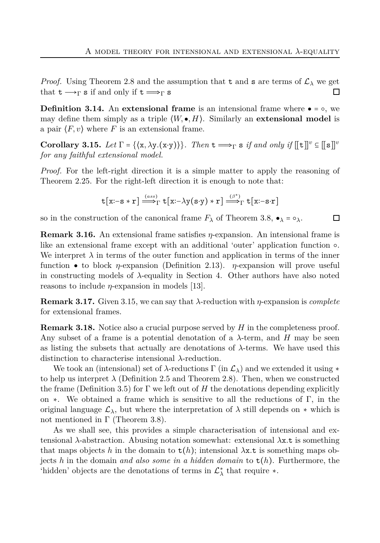*Proof.* Using Theorem [2.8](#page-2-0) and the assumption that t and s are terms of  $\mathcal{L}_{\lambda}$  we get that  $t \rightarrow \neg s$  if and only if  $t \rightarrow \neg s$ □

**Definition 3.14.** An **extensional frame** is an intensional frame where  $\bullet$  =  $\circ$ , we may define them simply as a triple  $\langle W, \bullet, H \rangle$ . Similarly an **extensional model** is a pair  $\langle F, v \rangle$  where *F* is an extensional frame.

<span id="page-12-1"></span>**Corollary 3.15.** *Let*  $\Gamma = \{(\mathbf{x}, \lambda \mathbf{y}.(\mathbf{x}\cdot \mathbf{y}))\}$ *. Then*  $\mathbf{t} \Longrightarrow_{\Gamma} \mathbf{s}$  *if and only if*  $\lbrack \lbrack \mathbf{t} \rbrack \rbrack$ <sup>*v*</sup>  $\subseteq \lbrack \lbrack \mathbf{s} \rbrack \rbrack$ <sup>*v*</sup> *for any faithful extensional model.*

*Proof.* For the left-right direction it is a simple matter to apply the reasoning of Theorem [2.25.](#page-8-1) For the right-left direction it is enough to note that:

$$
\mathtt{t}[\mathtt{x}\text{:}\mathord{-}\mathtt{s}\ast\mathtt{r}] \stackrel{\scriptscriptstyle (ass)}{\Longrightarrow}_{\Gamma} \mathtt{t}[\mathtt{x}\text{:}\mathord{-}\lambda \mathtt{y}(\mathtt{s}\text{:}\mathtt{y})\ast\mathtt{r}] \stackrel{\scriptscriptstyle (\beta^*)}{\Longrightarrow}_{\Gamma} \mathtt{t}[\mathtt{x}\text{:}\mathord{-}\mathtt{s}\text{:}\mathtt{r}]
$$

口

so in the construction of the canonical frame  $F_\lambda$  of Theorem [3.8,](#page-9-0)  $\bullet_\lambda = \circ_\lambda$ .

**Remark 3.16.** An extensional frame satisfies *η*-expansion. An intensional frame is like an extensional frame except with an additional 'outer' application function ○. We interpret  $\lambda$  in terms of the outer function and application in terms of the inner function ● to block *η*-expansion (Definition [2.13\)](#page-5-0). *η*-expansion will prove useful in constructing models of *λ*-equality in Section [4.](#page-14-0) Other authors have also noted reasons to include *η*-expansion in models [\[13\]](#page-22-8).

**Remark 3.17.** Given [3.15,](#page-12-1) we can say that *λ*-reduction with *η*-expansion is *complete* for extensional frames.

<span id="page-12-0"></span>**Remark 3.18.** Notice also a crucial purpose served by *H* in the completeness proof. Any subset of a frame is a potential denotation of a *λ*-term, and *H* may be seen as listing the subsets that actually are denotations of *λ*-terms. We have used this distinction to characterise intensional *λ*-reduction.

We took an (intensional) set of  $\lambda$ -reductions  $\Gamma$  (in  $\mathcal{L}_{\lambda}$ ) and we extended it using  $*$ to help us interpret  $\lambda$  (Definition [2.5](#page-1-2) and Theorem [2.8\)](#page-2-0). Then, when we constructed the frame (Definition [3.5\)](#page-9-1) for  $\Gamma$  we left out of *H* the denotations depending explicitly on  $\ast$ . We obtained a frame which is sensitive to all the reductions of Γ, in the original language  $\mathcal{L}_{\lambda}$ , but where the interpretation of  $\lambda$  still depends on  $*$  which is not mentioned in  $\Gamma$  (Theorem [3.8\)](#page-9-0).

As we shall see, this provides a simple characterisation of intensional and extensional *λ*-abstraction. Abusing notation somewhat: extensional *λ*x*.*t is something that maps objects *h* in the domain to t(*h*); intensional *λ*x*.*t is something maps objects *h* in the domain *and also some in a hidden domain* to t(*h*). Furthermore, the 'hidden' objects are the denotations of terms in  $\mathcal{L}_{\lambda}^*$  $\lambda$ <sup>\*</sup> that require  $*$ .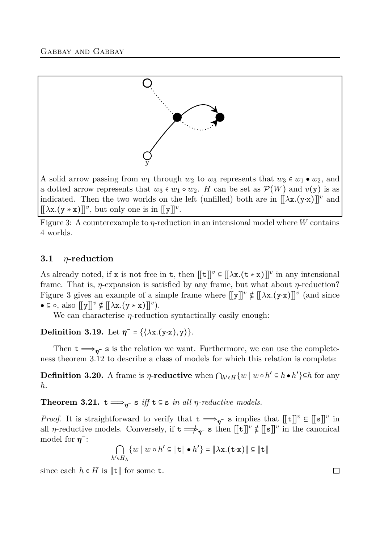<span id="page-13-0"></span>

A solid arrow passing from  $w_1$  through  $w_2$  to  $w_3$  represents that  $w_3 \in w_1 \bullet w_2$ , and a dotted arrow represents that  $w_3 \in w_1 \circ w_2$ . *H* can be set as  $\mathcal{P}(W)$  and  $v(y)$  is as indicated. Then the two worlds on the left (unfilled) both are in  $[[\lambda x.(y·x)]]^v$  and  $[[\lambda x.(y * x)]]^v$ , but only one is in  $[[y]]^v$ .

Figure 3: A counterexample to *η*-reduction in an intensional model where *W* contains 4 worlds.

## **3.1** *η***-reduction**

As already noted, if x is not free in t, then  $[[t]]^v \subseteq [[\lambda x.(t * x)]]^v$  in any intensional frame. That is, *η*-expansion is satisfied by any frame, but what about *η*-reduction? Figure [3](#page-13-0) gives an example of a simple frame where  $[[y]]^v \notin [[\lambda x.(y\cdot x)]]^v$  (and since  $\bullet \subseteq \circ$ , also  $[[y]]^v \notin [[\lambda x.(y * x)]]^v$ .

We can characterise *η*-reduction syntactically easily enough:

**Definition 3.19.** Let  $\eta^- = {\{\lambda x.(y \cdot x), y\}}$ .

Then  $t \Longrightarrow_{\eta^-} s$  is the relation we want. Furthermore, we can use the completeness theorem [3.12](#page-11-0) to describe a class of models for which this relation is complete:

**Definition 3.20.** A frame is *η*-**reductive** when  $\bigcap_{h' \in H} \{w \mid w \circ h' \subseteq h \bullet h'\} \subseteq h$  for any *h*.

**Theorem 3.21.**  $t \Longrightarrow_{\eta^-} s$  *iff*  $t \in s$  *in all η-reductive models.* 

*Proof.* It is straightforward to verify that  $t \implies_{\eta^-} s$  implies that  $[[t]]^v \subseteq [[s]]^v$  in all *η*-reductive models. Conversely, if  $t \rightarrow \gamma$  s then  $[[t]]^v \notin [[s]]^v$  in the canonical model for  $\eta$ <sup>-</sup>:

$$
\bigcap_{h' \in H_{\lambda}} \{w \mid w \circ h' \subseteq ||\mathbf{t}|| \bullet h'\} = ||\lambda \mathbf{x}.(\mathbf{t} \cdot \mathbf{x})|| \subseteq ||\mathbf{t}||
$$

since each  $h \in H$  is  $\|\mathbf{t}\|$  for some  $\mathbf{t}$ .

口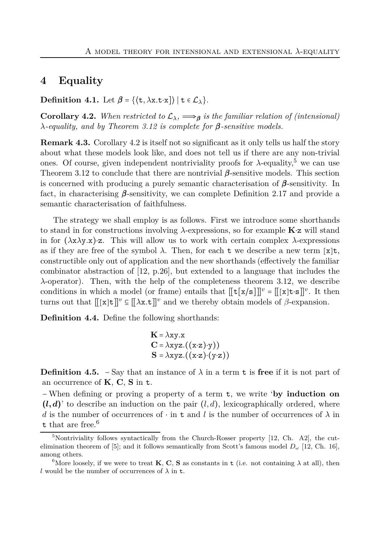# <span id="page-14-0"></span>**4 Equality**

<span id="page-14-1"></span>**Definition 4.1.** Let  $\beta = \{ \langle t, \lambda x. t \cdot x \rangle \} | t \in \mathcal{L}_{\lambda} \}.$ 

**Corollary 4.2.** *When restricted to*  $\mathcal{L}_{\lambda}$ *,*  $\Longrightarrow$ *<sub>β</sub> is the familiar relation of (intensional) λ-equality, and by Theorem [3.12](#page-11-0) is complete for β-sensitive models.*

**Remark 4.3.** Corollary [4.2](#page-14-1) is itself not so significant as it only tells us half the story about what these models look like, and does not tell us if there are any non-trivial ones. Of course, given independent nontriviality proofs for  $\lambda$ -equality,<sup>5</sup> we can use Theorem [3.12](#page-11-0) to conclude that there are nontrivial *β*-sensitive models. This section is concerned with producing a purely semantic characterisation of *β*-sensitivity. In fact, in characterising *β*-sensitivity, we can complete Definition [2.17](#page-6-0) and provide a semantic characterisation of faithfulness.

The strategy we shall employ is as follows. First we introduce some shorthands to stand in for constructions involving *λ*-expressions, so for example **K**⋅z will stand in for  $(\lambda x \lambda y.x)$ ⋅z. This will allow us to work with certain complex  $\lambda$ -expressions as if they are free of the symbol  $\lambda$ . Then, for each **t** we describe a new term [x]**t**, constructible only out of application and the new shorthands (effectively the familiar combinator abstraction of [\[12,](#page-22-1) p.26], but extended to a language that includes the *λ*-operator). Then, with the help of the completeness theorem [3.12,](#page-11-0) we describe conditions in which a model (or frame) entails that  $[[t[x/s]]]^{v} = [[x]t \cdot s]]^{v}$ . It then turns out that  $[[x]t]]^v \subseteq [[\lambda x.t]]^v$  and we thereby obtain models of  $\beta$ -expansion.

**Definition 4.4.** Define the following shorthands:

$$
\mathbf{K} = \lambda xy.x
$$
  
\n
$$
\mathbf{C} = \lambda xyz.((x \cdot z) \cdot y))
$$
  
\n
$$
\mathbf{S} = \lambda xyz.((x \cdot z) \cdot (y \cdot z))
$$

**Definition 4.5.** – Say that an instance of  $\lambda$  in a term t is free if it is not part of an occurrence of **K**, **C**, **S** in t.

− When defining or proving a property of a term t, we write '**by induction on**  $(l, d)$ ' to describe an induction on the pair  $(l, d)$ , lexicographically ordered, where *d* is the number of occurrences of  $\cdot$  in t and *l* is the number of occurrences of  $\lambda$  in t that are free.<sup>6</sup>

<span id="page-14-2"></span> $5$ Nontriviality follows syntactically from the Church-Rosser property [\[12,](#page-22-1) Ch. A2], the cutelimination theorem of [\[5\]](#page-22-9); and it follows semantically from Scott's famous model *D<sup>ω</sup>* [\[12,](#page-22-1) Ch. 16], among others.

<sup>&</sup>lt;sup>6</sup>More loosely, if we were to treat **K**, **C**, **S** as constants in **t** (i.e. not containing  $\lambda$  at all), then *l* would be the number of occurrences of  $\lambda$  in t.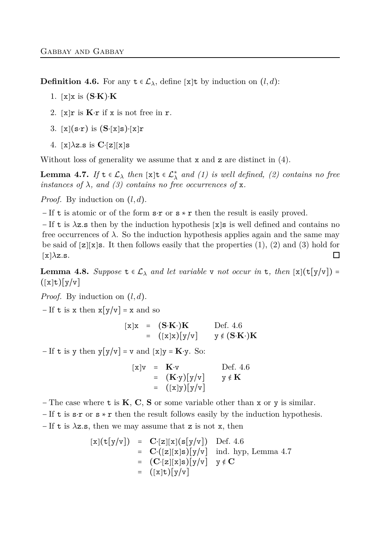**Definition 4.6.** For any  $t \in \mathcal{L}_{\lambda}$ , define [x]t by induction on  $(l, d)$ :

- 1. [x]x is (**S**⋅**K**)⋅**K**
- 2. [x]r is **K**⋅r if x is not free in r.
- <span id="page-15-0"></span>3.  $[x](s \cdot r)$  is  $(S \cdot [x]s) \cdot [x]r$
- 4.  $[x]\lambda z$ **s** is  $C$ <sup>[</sup> $z$ ][ $x$ ]s

<span id="page-15-1"></span>Without loss of generality we assume that  $x$  and  $z$  are distinct in  $(4)$ .

**Lemma 4.7.** *If*  $\mathbf{t} \in \mathcal{L}_{\lambda}$  *then* [x] $\mathbf{t} \in \mathcal{L}_{\lambda}^{*}$  *and (1) is well defined, (2) contains no free instances of*  $\lambda$ *, and* (3) contains no free occurrences of x.

*Proof.* By induction on (*l, d*).

− If t is atomic or of the form s⋅r or s ∗ r then the result is easily proved.

− If t is *λ*z*.*s then by the induction hypothesis [x]s is well defined and contains no free occurrences of  $\lambda$ . So the induction hypothesis applies again and the same may be said of  $[z][x]$ s. It then follows easily that the properties  $(1), (2)$  and  $(3)$  hold for  $[x]\lambda z.s.$  $\Box$ 

<span id="page-15-2"></span>**Lemma 4.8.** *Suppose*  $\mathbf{t} \in \mathcal{L}_{\lambda}$  *and let variable* v *not occur in* **t***, then* [x]( $\mathbf{t}$ [y/v]) =  $(\lceil x \rceil t) \lceil y \rceil$ 

*Proof.* By induction on (*l, d*).

 $-If$  t is x then  $x[y/v] = x$  and so

$$
\begin{array}{rcl}\n[\mathbf{x}]\mathbf{x} & = & (\mathbf{S} \cdot \mathbf{K} \cdot) \mathbf{K} \\
& = & ([\mathbf{x}]\mathbf{x}) \big[ \mathbf{y}/\mathbf{v} \big] \qquad \mathbf{y} \notin (\mathbf{S} \cdot \mathbf{K} \cdot) \mathbf{K}\n\end{array}
$$

 $-If$  **t** is y then y[y/v] = v and [x]y = **K**⋅y. So:

$$
\begin{array}{rcl}\n[x]v & = & \mathbf{K} \cdot v & \text{Def. 4.6} \\
 & = & (\mathbf{K} \cdot y)[y/v] & y \notin \mathbf{K} \\
 & = & ([x]y)[y/v]\n\end{array}
$$

− The case where t is **K**, **C**, **S** or some variable other than x or y is similar.

 $-I$  t is s⋅r or s  $\star$  r then the result follows easily by the induction hypothesis.

− If t is *λ*z*.*s, then we may assume that z is not x, then

$$
[x](t[y/v]) = C'[z][x](s[y/v]) \text{ Def. 4.6}
$$
  
\n
$$
= C'[z][x]s)[y/v] \text{ ind. hyp, Lemma 4.7}
$$
  
\n
$$
= (C'[z][x]s)[y/v] \text{ y } \notin C
$$
  
\n
$$
= ([x]t)[y/v]
$$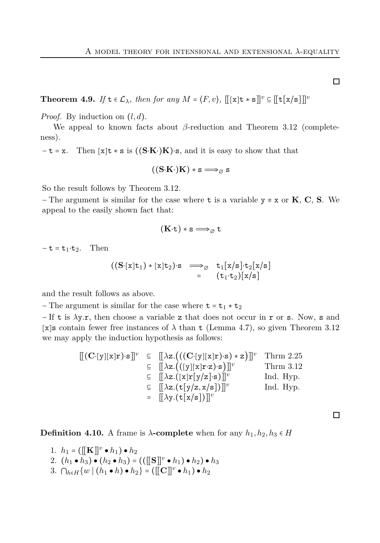<span id="page-16-1"></span>**Theorem 4.9.** *If*  $\mathbf{t} \in \mathcal{L}_{\lambda}$ *, then for any*  $M = \langle F, v \rangle$ *,*  $\|[\mathbf{x}]\mathbf{t} * \mathbf{s}\|^v \subseteq \|\mathbf{t}[\mathbf{x}/\mathbf{s}]\|^v$ 

*Proof.* By induction on (*l, d*).

We appeal to known facts about *β*-reduction and Theorem [3.12](#page-11-0) (completeness).

− t = x. Then [x]t ∗ s is ((**S**⋅**K**⋅)**K**)⋅s, and it is easy to show that that

$$
((S\cdot K\cdot)K)*s\Longrightarrow_{\varnothing} s
$$

So the result follows by Theorem [3.12.](#page-11-0)

− The argument is similar for the case where t is a variable y ≠ x or **K**, **C**, **S**. We appeal to the easily shown fact that:

$$
(K{\cdot}t)*s\Longrightarrow_\varnothing t
$$

 $-\mathbf{t} = \mathbf{t}_1 \cdot \mathbf{t}_2$ . Then

$$
\begin{array}{ccc} ((S\cdot [x]t_1)*(x]t_2)\cdot s & \Longrightarrow_{\varnothing} & t_1[x/s]\cdot t_2[x/s] \\ & = & (t_1\cdot t_2)[x/s] \end{array}
$$

and the result follows as above.

 $-$  The argument is similar for the case where  $t = t_1 * t_2$ 

− If t is *λ*y*.*r, then choose a variable z that does not occur in r or s. Now, s and [x]s contain fewer free instances of  $\lambda$  than t (Lemma [4.7\)](#page-15-1), so given Theorem [3.12](#page-11-0) we may apply the induction hypothesis as follows:

$$
\begin{array}{llll}\n\left[\left[(\mathbf{C}\cdot[y][x]\mathbf{r}\right)\cdot\mathbf{s}\right]^{v} & \subseteq & \left[\left[\lambda z.\left(\left((\mathbf{C}\cdot[y][x]\mathbf{r}\right)\cdot\mathbf{s}\right)\ast\mathbf{z}\right)\right]\right]^{v} & \text{Thrm 2.25} \\
& \subseteq & \left[\left[\lambda z.\left(\left([y][x]\mathbf{r}\cdot\mathbf{z}\right)\cdot\mathbf{s}\right)\right]\right]^{v} & \text{Thrm 3.12} \\
& \subseteq & \left[\left[\lambda z.\left(\left[x\right]\mathbf{r}[y/z]\cdot\mathbf{s}\right)\right]\right]^{v} & \text{Ind. Hyp.} \\
& \subseteq & \left[\left[\lambda z.\left(\mathbf{t}[y/z,x/s]\right)\right]\right]^{v} & \text{Ind. Hyp.} \\
& = & \left[\left[\lambda y.\left(\mathbf{t}[x/s]\right)\right]\right]^{v}\n\end{array}
$$

口

<span id="page-16-0"></span>**Definition 4.10.** A frame is  $\lambda$ **-complete** when for any  $h_1, h_2, h_3 \in H$ 

1.  $h_1 = (\llbracket \mathbf{K} \rrbracket^v \bullet h_1) \bullet h_2$ 2.  $(h_1 \bullet h_3) \bullet (h_2 \bullet h_3) = (([[S]]^v \bullet h_1) \bullet h_2) \bullet h_3$ 3. ∩<sub>*h*∈*H*</sub>{ $w | (h_1 \cdot h) \cdot h_2$ } = ([[**C**]]<sup>*v*</sup>  $\cdot h_1$ )  $\cdot h_2$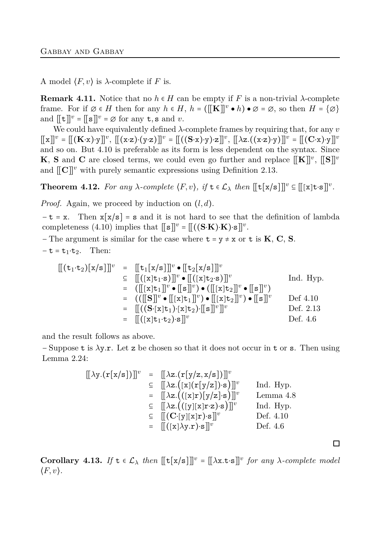A model  $\langle F, v \rangle$  is  $\lambda$ -complete if *F* is.

**Remark 4.11.** Notice that no  $h \in H$  can be empty if F is a non-trivial  $\lambda$ -complete frame. For if  $\emptyset \in H$  then for any  $h \in H$ ,  $h = (\llbracket \mathbf{K} \rrbracket^v \bullet h) \bullet \emptyset = \emptyset$ , so then  $H = \{\emptyset\}$ and  $[[t]]^v = [[s]]^v = \emptyset$  for any  $t, s$  and  $v$ .

We could have equivalently defined *λ*-complete frames by requiring that, for any *v*  $[[x]]^v = [[(K \cdot x) \cdot y]]^v, [[(x \cdot z) \cdot (y \cdot z)]]^v = [[((S \cdot x) \cdot y) \cdot z]]^v, [[\lambda z.((x \cdot z) \cdot y)]]^v = [[(C \cdot x) \cdot y]]^v$ and so on. But [4.10](#page-16-0) is preferable as its form is less dependent on the syntax. Since **K**, **S** and **C** are closed terms, we could even go further and replace  $[[\mathbf{K}]]^v$ ,  $[[\mathbf{S}]]^v$ and  $\llbracket \mathbf{C} \rrbracket^v$  with purely semantic expressions using Definition [2.13.](#page-5-0)

<span id="page-17-0"></span>**Theorem 4.12.** For any  $\lambda$ -complete  $\langle F, v \rangle$ , if  $\mathbf{t} \in \mathcal{L}_{\lambda}$  then  $[\![\mathbf{t}[x/s]]\!]^v \subseteq [\![ [x] \mathbf{t} \cdot \mathbf{s}]\!]^v$ .

*Proof.* Again, we proceed by induction on (*l, d*).

 $-t = x$ . Then  $x[x/s] = s$  and it is not hard to see that the definition of lambda completeness [\(4.10\)](#page-16-0) implies that  $[[s]]^v = [[(S·K)·K)·s]]^v$ .

 $\mathbf{F}$  - The argument is similar for the case where  $\mathbf{t} = \mathbf{y} \neq \mathbf{x}$  or  $\mathbf{t}$  is **K**, **C**, **S**.  $-\mathbf{t} = \mathbf{t}_1 \cdot \mathbf{t}_2$ . Then:

$$
\begin{array}{rcl}\n[[(\mathtt{t}_{1} \cdot \mathtt{t}_{2})[\mathtt{x}/\mathtt{s}]]]^{v} & = & [[\mathtt{t}_{1}[\mathtt{x}/\mathtt{s}]]]^{v} \bullet [[\mathtt{t}_{2}[\mathtt{x}/\mathtt{s}]]]^{v} \\
 & \subseteq & [[([\mathtt{x}]\mathtt{t}_{1} \cdot \mathtt{s})]]^{v} \bullet [[([\mathtt{x}]\mathtt{t}_{2} \cdot \mathtt{s})]]^{v} \qquad \text{Ind. Hyp.} \\
 & = & [[[[\mathtt{x}]\mathtt{t}_{1}]]^{v} \bullet [[\mathtt{s}]]^{v}) \bullet [[[\mathtt{x}]\mathtt{t}_{2}]]^{v} \bullet [[\mathtt{s}]]^{v} \qquad \text{Def 4.10} \\
 & = & [[([\mathtt{S}]]^{v} \bullet [[\mathtt{x}]\mathtt{t}_{1}]]^{v}) \bullet [[\mathtt{x}]\mathtt{t}_{2}]]^{v} \qquad \text{Def 4.10} \\
 & = & [[([\mathtt{x}]\mathtt{t}_{1} \cdot \mathtt{t}_{2}) \cdot \mathtt{s}]]^{v} \qquad \text{Def. 2.13} \\
 & = & [[([\mathtt{x}]\mathtt{t}_{1} \cdot \mathtt{t}_{2}) \cdot \mathtt{s}]]^{v} \qquad \text{Def. 4.6}\n\end{array}
$$

and the result follows as above.

− Suppose t is *λ*y*.*r. Let z be chosen so that it does not occur in t or s. Then using Lemma [2.24:](#page-7-1)

$$
\begin{array}{rcl}\n\left[\left(\lambda y.(\mathbf{r}[x/s])\right]\right]^{v} & = & \left[\left(\lambda z.(\mathbf{r}[y/z,x/s])\right]\right]^{v} \\
& \subseteq & \left[\left(\lambda z.((\mathbf{x}|\mathbf{r}[y/z])\cdot\mathbf{s})\right]\right]^{v} \\
& = & \left[\left(\lambda z.((\mathbf{x}|\mathbf{r})[y/z]\cdot\mathbf{s})\right]\right]^{v} \quad \text{Lemma 4.8} \\
& \subseteq & \left[\left(\lambda z.((\mathbf{y}|\mathbf{x}|\mathbf{r}\cdot\mathbf{z})\cdot\mathbf{s})\right]\right]^{v} \quad \text{Ind. Hyp.} \\
& \subseteq & \left[\left(\left(\mathbf{C}\cdot[\mathbf{y}][\mathbf{x}]\mathbf{r}\cdot\mathbf{s}\right)\right]\right]^{v} \quad \text{Def. 4.10} \\
& = & \left[\left((\mathbf{x}|\lambda y.\mathbf{r})\cdot\mathbf{s}\right]\right]^{v} \quad \text{Def. 4.6}\n\end{array}
$$

<span id="page-17-1"></span>**Corollary 4.13.** *If*  $\mathbf{t} \in \mathcal{L}_{\lambda}$  *then*  $[[\mathbf{t}[\mathbf{x}/s]]]^{v} = [[\lambda \mathbf{x}.\mathbf{t} \cdot \mathbf{s}]]^{v}$  *for any*  $\lambda$ -complete model  $\langle F, v \rangle$ *.* 

口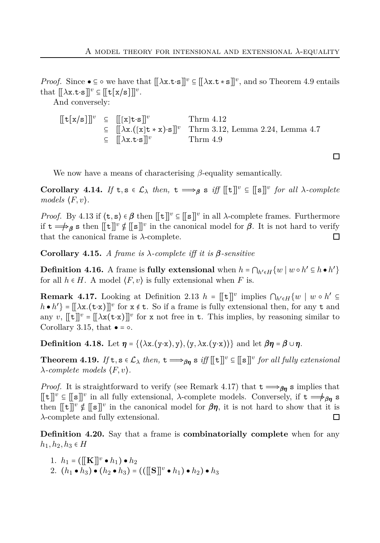□

*Proof.* Since  $\bullet \subseteq \circ$  we have that  $[[\lambda x.t.\, \cdot s]]^v \subseteq [[\lambda x.t.\, \cdot s]]^v$ , and so Theorem [4.9](#page-16-1) entails that  $[[\lambda \mathbf{x}.\mathbf{t}\cdot\mathbf{s}]]^v \subseteq [[\mathbf{t}[\mathbf{x}/\mathbf{s}]]]^v$ .

And conversely:

 $[[t[x/s]]]^{v} \subseteq [[x]t\cdot s]]^{v}$  Thrm [4.12](#page-17-0) ⊆ [[*λ*x*.*([x]t ∗ x)⋅s]]*<sup>v</sup>* Thrm [3.12,](#page-11-0) Lemma [2.24,](#page-7-1) Lemma [4.7](#page-15-1)  $\subseteq$   $[[\lambda x.t.\s]$ <sup>*v*</sup> Thrm [4.9](#page-16-1)

We now have a means of characterising *β*-equality semantically.

**Corollary 4.14.** *If*  $t, s \in L_\lambda$  *then,*  $t \implies \beta s$  *iff*  $[[t]]^v \subseteq [[s]]^v$  *for all*  $\lambda$ *-complete models*  $\langle F, v \rangle$ *.* 

*Proof.* By [4.13](#page-17-1) if  $\langle \mathbf{t}, \mathbf{s} \rangle \in \beta$  then  $[[\mathbf{t}]]^v \subseteq [[\mathbf{s}]]^v$  in all *λ*-complete frames. Furthermore if  $t \Longrightarrow_{\beta} s$  then  $[[t]]^v \notin [[s]]^v$  in the canonical model for  $\beta$ . It is not hard to verify that the canonical frame is *λ*-complete. 口

<span id="page-18-1"></span>**Corollary 4.15.** *A frame is λ-complete iff it is β-sensitive*

**Definition 4.16.** A frame is **fully extensional** when  $h = \bigcap_{h' \in H} \{w \mid w \circ h' \subseteq h \bullet h'\}$ for all  $h \in H$ . A model  $\langle F, v \rangle$  is fully extensional when *F* is.

<span id="page-18-0"></span>**Remark 4.17.** Looking at Definition [2.13](#page-5-0)  $h = [[\mathbf{t}]]^v$  implies  $\bigcap_{h' \in H} \{w \mid w \circ h' \subseteq$  $h \cdot h'$ } =  $[\![\lambda x.(\mathbf{t}\cdot\mathbf{x})]\!]^v$  for  $x \notin \mathbf{t}$ . So if a frame is fully extensional then, for any  $\mathbf{t}$  and any *v*,  $[\lbrack \lbrack \mathbf{t} \rbrack]$ <sup>*v*</sup> =  $[\lbrack \lambda \mathbf{x}(\mathbf{t} \cdot \mathbf{x}) \rbrack]$ <sup>*v*</sup> for **x** not free in **t**. This implies, by reasoning similar to Corollary [3.15,](#page-12-1) that  $\bullet = \circ$ .

**Definition 4.18.** Let  $\eta = \{(\lambda x.(y \cdot x), y), (y, \lambda x.(y \cdot x))\}$  and let  $\beta \eta = \beta \cup \eta$ .

**Theorem 4.19.** *If*  $t, s \in L_\lambda$  *then,*  $t \Longrightarrow_{\beta\eta} s$  *iff*  $[[t]]^v \subseteq [[s]]^v$  *for all fully extensional λ-complete models* ⟨*F, v*⟩*.*

*Proof.* It is straightforward to verify (see Remark [4.17\)](#page-18-0) that  $t \implies \beta \eta$  s implies that  $[[t]]^v \subseteq [[s]]^v$  in all fully extensional, *λ*-complete models. Conversely, if  $t \Longrightarrow_{\beta\eta} s$ then  $[[t]]^v \notin [[s]]^v$  in the canonical model for  $\beta\eta$ , it is not hard to show that it is *λ*-complete and fully extensional.  $\Box$ 

**Definition 4.20.** Say that a frame is **combinatorially complete** when for any  $h_1, h_2, h_3$  ∈ *H* 

1.  $h_1 = (\llbracket \mathbf{K} \rrbracket^v \bullet h_1) \bullet h_2$ 2.  $(h_1 \bullet h_3) \bullet (h_2 \bullet h_3) = (([[S]]^v \bullet h_1) \bullet h_2) \bullet h_3$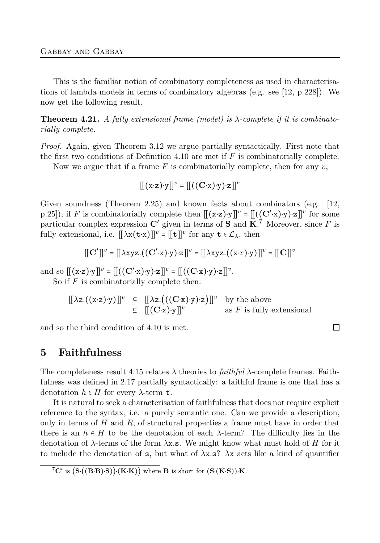This is the familiar notion of combinatory completeness as used in characterisations of lambda models in terms of combinatory algebras (e.g. see [\[12,](#page-22-1) p.228]). We now get the following result.

<span id="page-19-1"></span>**Theorem 4.21.** *A fully extensional frame (model) is λ-complete if it is combinatorially complete.*

*Proof.* Again, given Theorem [3.12](#page-11-0) we argue partially syntactically. First note that the first two conditions of Definition [4.10](#page-16-0) are met if *F* is combinatorially complete.

Now we argue that if a frame  $F$  is combinatorially complete, then for any  $v$ ,

$$
[\![(x\cdot z)\cdot y]\!]^\mathit{v} = [\![(C\cdot x)\cdot y)\cdot z]\!]^\mathit{v}
$$

Given soundness (Theorem [2.25\)](#page-8-1) and known facts about combinators (e.g. [\[12,](#page-22-1) p.25]), if *F* is combinatorially complete then  $[[ (x-z) \cdot y] ]^v = [[ ( (C' \cdot x) \cdot y) \cdot z] ]^v$  for some particular complex expression  $\mathbf{C}'$  given in terms of  $\mathbf{S}$  and  $\mathbf{K}$ .<sup>7</sup> Moreover, since *F* is fully extensional, i.e.  $[\![\lambda \mathbf{x}(\mathbf{t} \cdot \mathbf{x})]\!]^v = [\![\mathbf{t}]\!]^v$  for any  $\mathbf{t} \in \mathcal{L}_{\lambda}$ , then

$$
[[\mathbf{C}']]^v = [[\lambda xyz.((\mathbf{C}'\cdot \mathbf{x})\cdot \mathbf{y})\cdot \mathbf{z}]]^v = [[\lambda xyz.((\mathbf{x}\cdot \mathbf{r})\cdot \mathbf{y})]]^v = [[\mathbf{C}]]^v
$$

and so  $[[(x-z)\cdot y]]^v = [[((C'\cdot x)\cdot y)\cdot z]]^v = [[((C\cdot x)\cdot y)\cdot z]]^v$ .

So if *F* is combinatorially complete then:

 $[\![\lambda z.\{(\mathbf{x}\cdot\mathbf{z})\cdot\mathbf{y})\!]^v \subseteq [\![\lambda z.\{(\mathbf{C}\cdot\mathbf{x})\cdot\mathbf{y}\cdot\mathbf{z}\}]\!]^v$  by the above ⊆ [[(**C**⋅x)⋅y]]*<sup>v</sup>* as *F* is fully extensional

<span id="page-19-0"></span>and so the third condition of [4.10](#page-16-0) is met.

# **5 Faithfulness**

The completeness result [4.15](#page-18-1) relates *λ* theories to *faithful λ*-complete frames. Faithfulness was defined in [2.17](#page-6-0) partially syntactically: a faithful frame is one that has a denotation  $h \in H$  for every  $\lambda$ -term **t**.

It is natural to seek a characterisation of faithfulness that does not require explicit reference to the syntax, i.e. a purely semantic one. Can we provide a description, only in terms of *H* and *R*, of structural properties a frame must have in order that there is an  $h \in H$  to be the denotation of each  $\lambda$ -term? The difficulty lies in the denotation of *λ*-terms of the form *λ*x*.*s. We might know what must hold of *H* for it to include the denotation of s, but what of *λ*x*.*s? *λ*x acts like a kind of quantifier

 $\Box$ 

 ${}^{7}C'$  is  $(S \cdot ((B \cdot B) \cdot S)) \cdot (K \cdot K))$  where **B** is short for  $(S \cdot (K \cdot S)) \cdot K$ .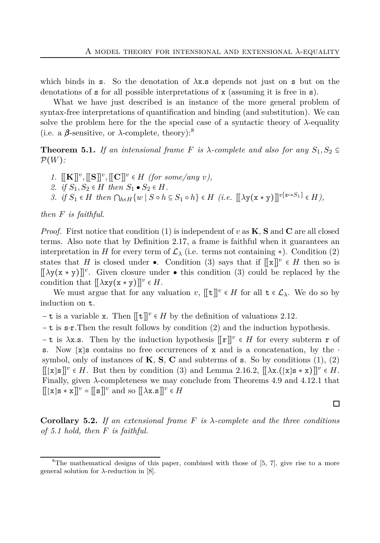which binds in s. So the denotation of *λ*x*.*s depends not just on s but on the denotations of  $s$  for all possible interpretations of  $x$  (assuming it is free in  $s$ ).

What we have just described is an instance of the more general problem of syntax-free interpretations of quantification and binding (and substitution). We can solve the problem here for the the special case of a syntactic theory of  $\lambda$ -equality (i.e. a  $\beta$ -sensitive, or  $\lambda$ -complete, theory):<sup>8</sup>

<span id="page-20-0"></span>**Theorem 5.1.** If an intensional frame F is  $\lambda$ -complete and also for any  $S_1, S_2 \subseteq$ P(*W*)*:*

- <span id="page-20-2"></span><span id="page-20-1"></span>*1.*  $[[\mathbf{K}]]^v$ ,  $[[\mathbf{S}]]^v$ ,  $[[\mathbf{C}]]^v$   $\in$  *H (for some/any v)*,
- <span id="page-20-3"></span>2. *if*  $S_1$ ,  $S_2$  ∈ *H then*  $S_1$  •  $S_2$  ∈ *H*.

*3. if*  $S_1 \in H$  *then*  $\bigcap_{h \in H} \{w \mid S \circ h \subseteq S_1 \circ h\} \in H$  (*i.e.*  $[\![\lambda y(x * y)]\!]^{v[x \to S_1]} \in H$ ),

*then F is faithful.*

*Proof.* First notice that condition [\(1\)](#page-20-1) is independent of *v* as **K**, **S** and **C** are all closed terms. Also note that by Definition [2.17,](#page-6-0) a frame is faithful when it guarantees an interpretation in *H* for every term of  $\mathcal{L}_{\lambda}$  (i.e. terms not containing \*). Condition [\(2\)](#page-20-2) states that *H* is closed under •. Condition [\(3\)](#page-20-3) says that if  $[[x]]^v \in H$  then so is [[*λ*y(x ∗ y)]]*<sup>v</sup>* . Given closure under ● this condition [\(3\)](#page-20-3) could be replaced by the condition that  $[\![\lambda \mathbf{x} \mathbf{y}(\mathbf{x} * \mathbf{y})\!]^v \in H$ .

We must argue that for any valuation  $v$ ,  $[[t]]^v \in H$  for all  $t \in \mathcal{L}_{\lambda}$ . We do so by induction on t.

 $-\mathbf{t}$  is a variable x. Then  $[[\mathbf{t}]]^v \in H$  by the definition of valuations [2.12.](#page-4-2)

− t is s⋅r.Then the result follows by condition [\(2\)](#page-20-2) and the induction hypothesis.

− t is *λ*x*.*s. Then by the induction hypothesis [[r]]*<sup>v</sup>* ∈ *H* for every subterm r of s. Now [x]s contains no free occurrences of x and is a concatenation, by the  $\cdot$ symbol, only of instances of  $\mathbf{K}, \mathbf{S}, \mathbf{C}$  and subterms of  $\mathbf{s}$ . So by conditions  $(1), (2)$  $(1), (2)$ [[[x]s]]*<sup>v</sup>* ∈ *H*. But then by condition [\(3\)](#page-20-3) and Lemma [2.16.](#page-5-1)2, [[*λ*x*.*([x]s ∗ x)]]*<sup>v</sup>* ∈ *H*. Finally, given *λ*-completeness we may conclude from Theorems [4.9](#page-16-1) and [4.12.](#page-17-0)1 that  $[[[x]s * x]]^v = [[s]]^v$  and so  $[[\lambda x.s]]^v \in H$ 

<span id="page-20-4"></span>**Corollary 5.2.** *If an extensional frame F is λ-complete and the three conditions of [5.1](#page-20-0) hold, then F is faithful.*

#### $\Box$

 ${}^8$ The mathematical designs of this paper, combined with those of [\[5,](#page-22-9) [7\]](#page-22-10), give rise to a more general solution for *λ*-reduction in [\[8\]](#page-22-4).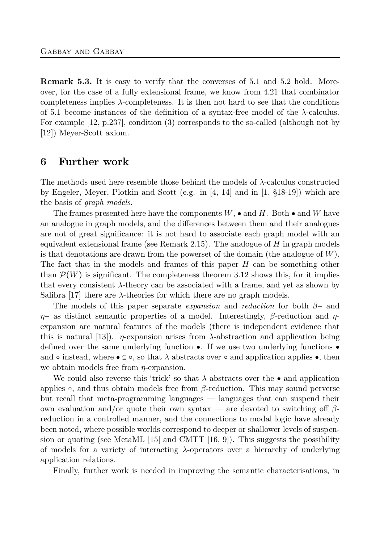**Remark 5.3.** It is easy to verify that the converses of [5.1](#page-20-0) and [5.2](#page-20-4) hold. Moreover, for the case of a fully extensional frame, we know from [4.21](#page-19-1) that combinator completeness implies *λ*-completeness. It is then not hard to see that the conditions of [5.1](#page-20-0) become instances of the definition of a syntax-free model of the *λ*-calculus. For example [\[12,](#page-22-1) p.237], condition [\(3\)](#page-20-3) corresponds to the so-called (although not by [\[12\]](#page-22-1)) Meyer-Scott axiom.

# **6 Further work**

The methods used here resemble those behind the models of *λ*-calculus constructed by Engeler, Meyer, Plotkin and Scott (e.g. in [\[4,](#page-22-11) [14\]](#page-22-12) and in [\[1,](#page-22-7) §18-19]) which are the basis of *graph models*.

The frames presented here have the components  $W$ ,  $\bullet$  and  $H$ . Both  $\bullet$  and  $W$  have an analogue in graph models, and the differences between them and their analogues are not of great significance: it is not hard to associate each graph model with an equivalent extensional frame (see Remark [2.15\)](#page-5-2). The analogue of *H* in graph models is that denotations are drawn from the powerset of the domain (the analogue of *W*). The fact that in the models and frames of this paper *H* can be something other than  $\mathcal{P}(W)$  is significant. The completeness theorem [3.12](#page-11-0) shows this, for it implies that every consistent  $\lambda$ -theory can be associated with a frame, and yet as shown by Salibra  $[17]$  there are  $\lambda$ -theories for which there are no graph models.

The models of this paper separate *expansion* and *reduction* for both *β*− and *η*− as distinct semantic properties of a model. Interestingly, *β*-reduction and *η*expansion are natural features of the models (there is independent evidence that this is natural [\[13\]](#page-22-8)). *η*-expansion arises from  $\lambda$ -abstraction and application being defined over the same underlying function  $\bullet$ . If we use two underlying functions  $\bullet$ and  $\circ$  instead, where  $\bullet \subseteq \circ$ , so that  $\lambda$  abstracts over  $\circ$  and application applies  $\bullet$ , then we obtain models free from *η*-expansion.

We could also reverse this 'trick' so that  $\lambda$  abstracts over the  $\bullet$  and application applies ○, and thus obtain models free from *β*-reduction. This may sound perverse but recall that meta-programming languages — languages that can suspend their own evaluation and/or quote their own syntax — are devoted to switching off *β*reduction in a controlled manner, and the connections to modal logic have already been noted, where possible worlds correspond to deeper or shallower levels of suspen-sion or quoting (see MetaML [\[15\]](#page-23-3) and CMTT [\[16,](#page-23-4) [9\]](#page-22-13)). This suggests the possibility of models for a variety of interacting *λ*-operators over a hierarchy of underlying application relations.

Finally, further work is needed in improving the semantic characterisations, in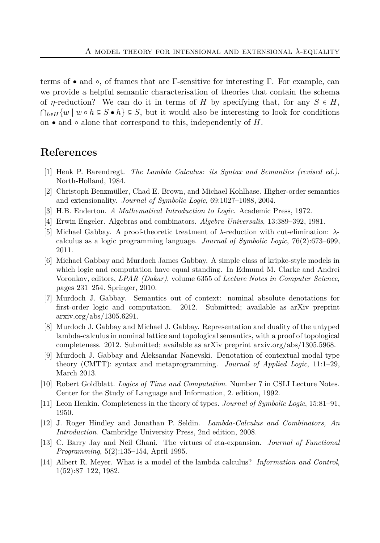terms of • and  $\circ$ , of frames that are Γ-sensitive for interesting Γ. For example, can we provide a helpful semantic characterisation of theories that contain the schema of *η*-reduction? We can do it in terms of *H* by specifying that, for any  $S \in H$ ,  $\bigcap_{h\in H}\{w\mid w\circ h\subseteq S\bullet h\}\subseteq S$ , but it would also be interesting to look for conditions on  $\bullet$  and  $\circ$  alone that correspond to this, independently of  $H$ .

# <span id="page-22-7"></span>**References**

- <span id="page-22-2"></span>[1] Henk P. Barendregt. *The Lambda Calculus: its Syntax and Semantics (revised ed.)*. North-Holland, 1984.
- <span id="page-22-6"></span>[2] Christoph Benzmüller, Chad E. Brown, and Michael Kohlhase. Higher-order semantics and extensionality. *Journal of Symbolic Logic*, 69:1027–1088, 2004.
- <span id="page-22-11"></span>[3] H.B. Enderton. *A Mathematical Introduction to Logic*. Academic Press, 1972.
- <span id="page-22-9"></span>[4] Erwin Engeler. Algebras and combinators. *Algebra Universalis*, 13:389–392, 1981.
- [5] Michael Gabbay. A proof-theoretic treatment of *λ*-reduction with cut-elimination: *λ*calculus as a logic programming language. *Journal of Symbolic Logic*, 76(2):673–699, 2011.
- <span id="page-22-0"></span>[6] Michael Gabbay and Murdoch James Gabbay. A simple class of kripke-style models in which logic and computation have equal standing. In Edmund M. Clarke and Andrei Voronkov, editors, *LPAR (Dakar)*, volume 6355 of *Lecture Notes in Computer Science*, pages 231–254. Springer, 2010.
- <span id="page-22-10"></span>[7] Murdoch J. Gabbay. Semantics out of context: nominal absolute denotations for first-order logic and computation. 2012. Submitted; available as arXiv preprint arxiv.org/abs/1305.6291.
- <span id="page-22-4"></span>[8] Murdoch J. Gabbay and Michael J. Gabbay. Representation and duality of the untyped lambda-calculus in nominal lattice and topological semantics, with a proof of topological completeness. 2012. Submitted; available as arXiv preprint arxiv.org/abs/1305.5968.
- <span id="page-22-13"></span>[9] Murdoch J. Gabbay and Aleksandar Nanevski. Denotation of contextual modal type theory (CMTT): syntax and metaprogramming. *Journal of Applied Logic*, 11:1–29, March 2013.
- <span id="page-22-5"></span>[10] Robert Goldblatt. *Logics of Time and Computation*. Number 7 in CSLI Lecture Notes. Center for the Study of Language and Information, 2. edition, 1992.
- <span id="page-22-3"></span><span id="page-22-1"></span>[11] Leon Henkin. Completeness in the theory of types. *Journal of Symbolic Logic*, 15:81–91, 1950.
- <span id="page-22-8"></span>[12] J. Roger Hindley and Jonathan P. Seldin. *Lambda-Calculus and Combinators, An Introduction*. Cambridge University Press, 2nd edition, 2008.
- <span id="page-22-12"></span>[13] C. Barry Jay and Neil Ghani. The virtues of eta-expansion. *Journal of Functional Programming*, 5(2):135–154, April 1995.
- [14] Albert R. Meyer. What is a model of the lambda calculus? *Information and Control*, 1(52):87–122, 1982.